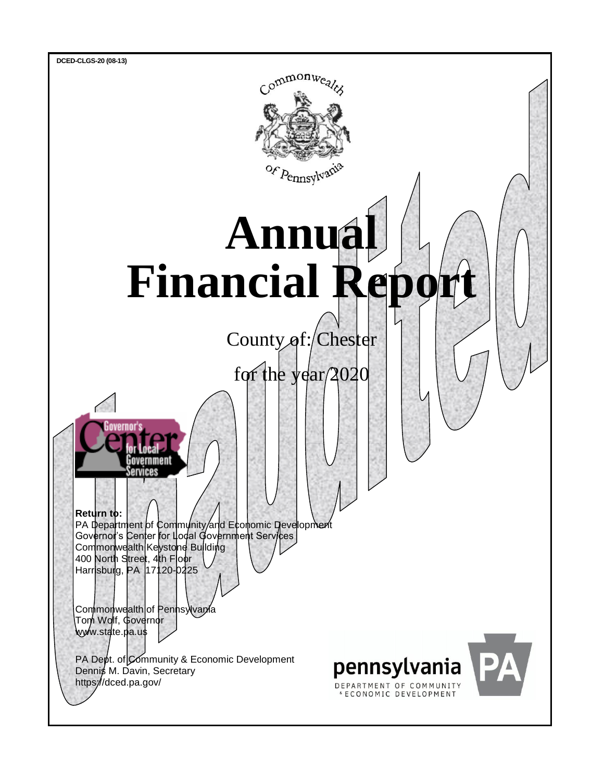

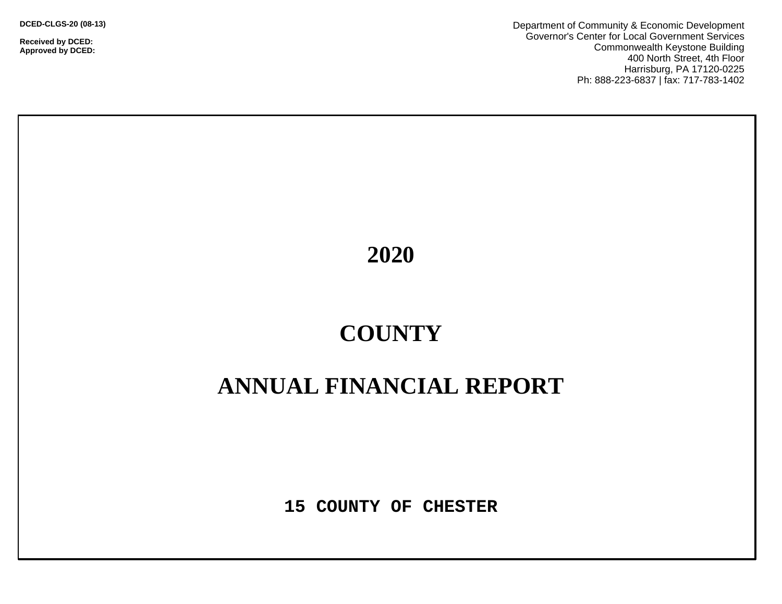**DCED-CLGS-20 (08-13)**

**Received by DCED: Approved by DCED:**  Department of Community & Economic Development Governor's Center for Local Government Services Commonwealth Keystone Building 400 North Street, 4th Floor Harrisburg, PA 17120-0225 Ph: 888-223-6837 | fax: 717-783-1402

**2020**

# **COUNTY**

# **ANNUAL FINANCIAL REPORT**

**15 COUNTY OF CHESTER**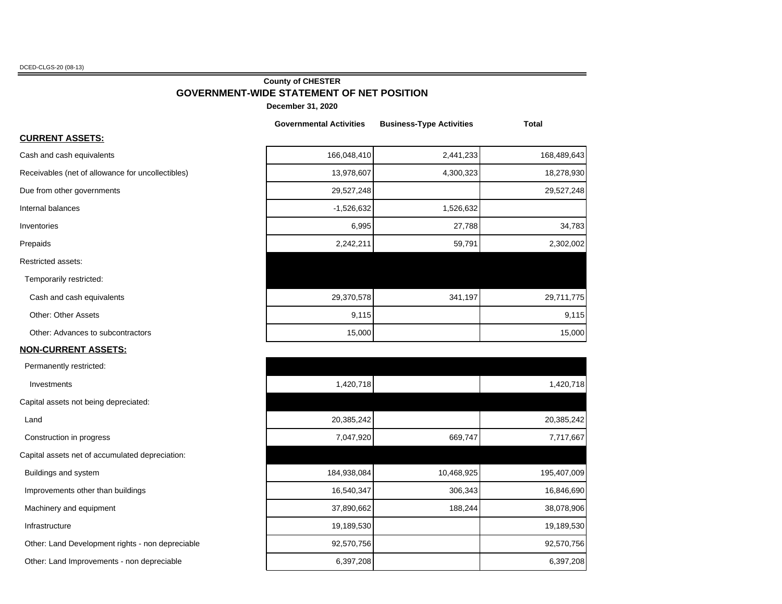DCED-CLGS-20 (08-13)

## **County of CHESTER GOVERNMENT-WIDE STATEMENT OF NET POSITION**

**December 31, 2020**

|                                                   | <b>Governmental Activities</b> | <b>Business-Type Activities</b> | <b>Total</b> |
|---------------------------------------------------|--------------------------------|---------------------------------|--------------|
| <u> CURRENT ASSETS:</u>                           |                                |                                 |              |
| Cash and cash equivalents                         | 166,048,410                    | 2,441,233                       | 168,489,643  |
| Receivables (net of allowance for uncollectibles) | 13,978,607                     | 4,300,323                       | 18,278,930   |
| Due from other governments                        | 29,527,248                     |                                 | 29,527,248   |
| Internal balances                                 | $-1,526,632$                   | 1,526,632                       |              |
| Inventories                                       | 6,995                          | 27,788                          | 34,783       |
| Prepaids                                          | 2,242,211                      | 59,791                          | 2,302,002    |
| Restricted assets:                                |                                |                                 |              |
| Temporarily restricted:                           |                                |                                 |              |
| Cash and cash equivalents                         | 29,370,578                     | 341,197                         | 29,711,775   |
| <b>Other: Other Assets</b>                        | 9,115                          |                                 | 9,115        |
| Other: Advances to subcontractors                 | 15,000                         |                                 | 15,000       |
| <u>NON-CURRENT ASSETS:</u>                        |                                |                                 |              |
| Permanently restricted:                           |                                |                                 |              |
| Investments                                       | 1,420,718                      |                                 | 1,420,718    |
| Capital assets not being depreciated:             |                                |                                 |              |
| Land                                              | 20,385,242                     |                                 | 20,385,242   |

| Permanently restricted:                          |             |            |             |
|--------------------------------------------------|-------------|------------|-------------|
| Investments                                      | 1,420,718   |            | 1,420,718   |
| apital assets not being depreciated:             |             |            |             |
| Land                                             | 20,385,242  |            | 20,385,242  |
| Construction in progress                         | 7,047,920   | 669,747    | 7,717,667   |
| apital assets net of accumulated depreciation:   |             |            |             |
| Buildings and system                             | 184,938,084 | 10,468,925 | 195,407,009 |
| Improvements other than buildings                | 16,540,347  | 306,343    | 16,846,690  |
| Machinery and equipment                          | 37,890,662  | 188,244    | 38,078,906  |
| Infrastructure                                   | 19,189,530  |            | 19,189,530  |
| Other: Land Development rights - non depreciable | 92,570,756  |            | 92,570,756  |
| Other: Land Improvements - non depreciable       | 6,397,208   |            | 6,397,208   |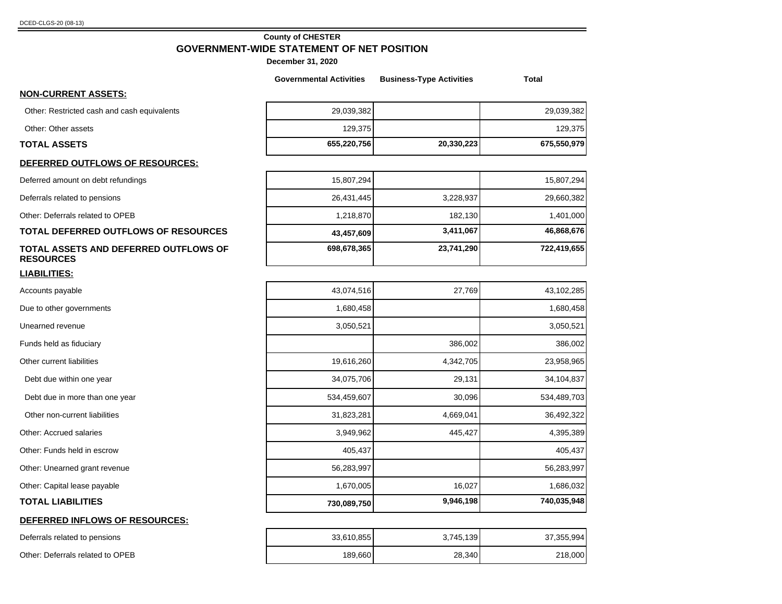#### **County of CHESTER GOVERNMENT-WIDE STATEMENT OF NET POSITION**

|                                                           | <b>Governmental Activities</b> | <b>Business-Type Activities</b> | <b>Total</b> |
|-----------------------------------------------------------|--------------------------------|---------------------------------|--------------|
| <b>NON-CURRENT ASSETS:</b>                                |                                |                                 |              |
| Other: Restricted cash and cash equivalents               | 29,039,382                     |                                 | 29,039,382   |
| Other: Other assets                                       | 129,375                        |                                 | 129,375      |
| <b>TOTAL ASSETS</b>                                       | 655,220,756                    | 20,330,223                      | 675,550,979  |
| DEFERRED OUTFLOWS OF RESOURCES:                           |                                |                                 |              |
| Deferred amount on debt refundings                        | 15,807,294                     |                                 | 15,807,294   |
| Deferrals related to pensions                             | 26,431,445                     | 3,228,937                       | 29,660,382   |
| Other: Deferrals related to OPEB                          | 1,218,870                      | 182,130                         | 1,401,000    |
| <b>TOTAL DEFERRED OUTFLOWS OF RESOURCES</b>               | 43,457,609                     | 3,411,067                       | 46,868,676   |
| TOTAL ASSETS AND DEFERRED OUTFLOWS OF<br><b>RESOURCES</b> | 698,678,365                    | 23,741,290                      | 722,419,655  |
| <b>LIABILITIES:</b>                                       |                                |                                 |              |
| Accounts payable                                          | 43,074,516                     | 27,769                          | 43,102,285   |
| Due to other governments                                  | 1,680,458                      |                                 | 1,680,458    |
| Unearned revenue                                          | 3,050,521                      |                                 | 3,050,521    |
| Funds held as fiduciary                                   |                                | 386,002                         | 386,002      |
| Other current liabilities                                 | 19,616,260                     | 4,342,705                       | 23,958,965   |
| Debt due within one year                                  | 34,075,706                     | 29,131                          | 34,104,837   |
| Debt due in more than one year                            | 534,459,607                    | 30,096                          | 534,489,703  |
| Other non-current liabilities                             | 31,823,281                     | 4,669,041                       | 36,492,322   |
| Other: Accrued salaries                                   | 3,949,962                      | 445,427                         | 4,395,389    |
| Other: Funds held in escrow                               | 405,437                        |                                 | 405,437      |
| Other: Unearned grant revenue                             | 56,283,997                     |                                 | 56,283,997   |
| Other: Capital lease payable                              | 1,670,005                      | 16,027                          | 1,686,032    |
| <b>TOTAL LIABILITIES</b>                                  | 730,089,750                    | 9,946,198                       | 740,035,948  |
| DEFERRED INFLOWS OF RESOURCES:                            |                                |                                 |              |
| Deferrals related to pensions                             | 33,610,855                     | 3,745,139                       | 37,355,994   |
| Other: Deferrals related to OPEB                          | 189,660                        | 28,340                          | 218,000      |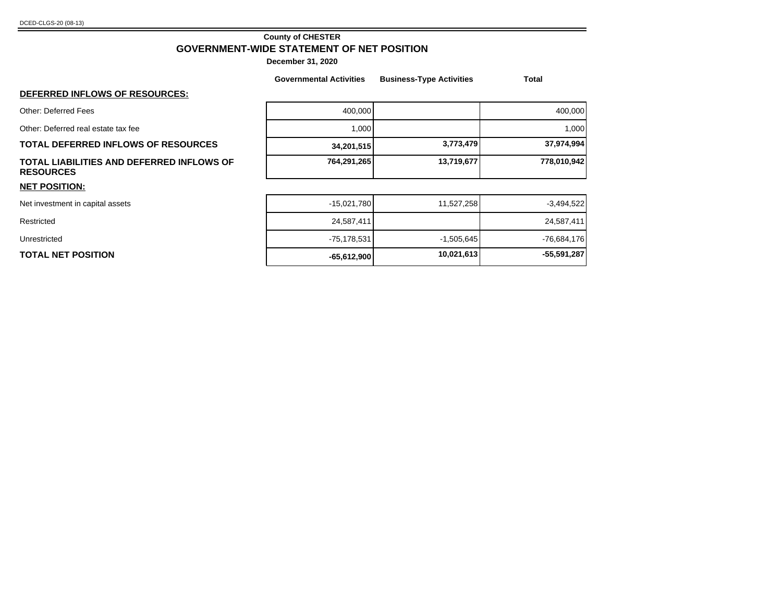### **County of CHESTER GOVERNMENT-WIDE STATEMENT OF NET POSITION**

|                                                               | <b>Governmental Activities</b> | <b>Business-Type Activities</b> | Total         |
|---------------------------------------------------------------|--------------------------------|---------------------------------|---------------|
| <b>DEFERRED INFLOWS OF RESOURCES:</b>                         |                                |                                 |               |
| Other: Deferred Fees                                          | 400,000                        |                                 | 400,000       |
| Other: Deferred real estate tax fee                           | 1,000                          |                                 | 1,000         |
| <b>TOTAL DEFERRED INFLOWS OF RESOURCES</b>                    | 34,201,515                     | 3,773,479                       | 37,974,994    |
| TOTAL LIABILITIES AND DEFERRED INFLOWS OF<br><b>RESOURCES</b> | 764,291,265                    | 13,719,677                      | 778,010,942   |
| <b>NET POSITION:</b>                                          |                                |                                 |               |
| Net investment in capital assets                              | $-15,021,780$                  | 11,527,258                      | $-3,494,522$  |
| Restricted                                                    | 24,587,411                     |                                 | 24,587,411    |
| Unrestricted                                                  | $-75,178,531$                  | $-1,505,645$                    | $-76,684,176$ |
| TOTAL NET POSITION                                            | $-65,612,900$                  | 10,021,613                      | $-55,591,287$ |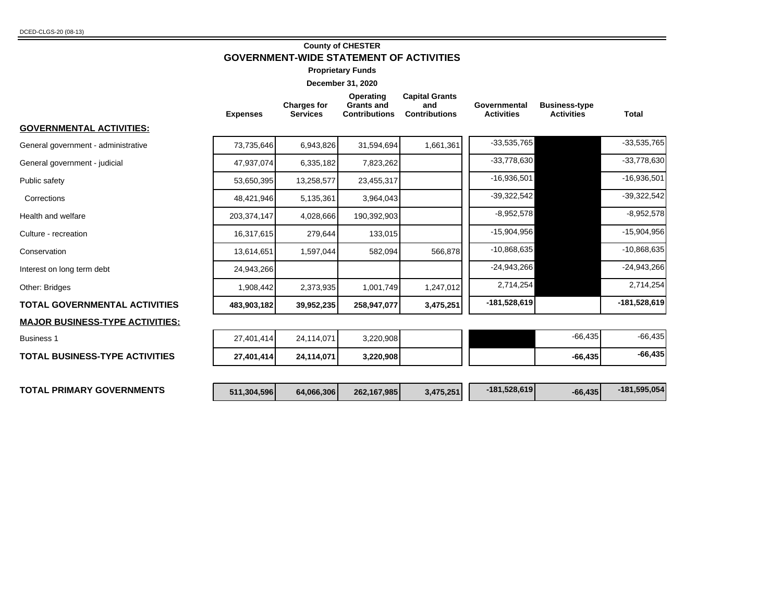### **County of CHESTER GOVERNMENT-WIDE STATEMENT OF ACTIVITIES**

**Proprietary Funds**

|                                         | <b>Expenses</b> | <b>Charges for</b><br><b>Services</b> | Operating<br><b>Grants and</b><br><b>Contributions</b> | <b>Capital Grants</b><br>and<br><b>Contributions</b> | Governmental<br><b>Activities</b> | <b>Business-type</b><br><b>Activities</b> | <b>Total</b>   |
|-----------------------------------------|-----------------|---------------------------------------|--------------------------------------------------------|------------------------------------------------------|-----------------------------------|-------------------------------------------|----------------|
| GOVERNMENTAL ACTIVITIES:                |                 |                                       |                                                        |                                                      |                                   |                                           |                |
| General government - administrative     | 73,735,646      | 6,943,826                             | 31,594,694                                             | 1,661,361                                            | $-33,535,765$                     |                                           | $-33,535,765$  |
| General government - judicial           | 47,937,074      | 6,335,182                             | 7,823,262                                              |                                                      | $-33,778,630$                     |                                           | $-33,778,630$  |
| Public safety                           | 53,650,395      | 13,258,577                            | 23,455,317                                             |                                                      | $-16,936,501$                     |                                           | $-16,936,501$  |
| Corrections                             | 48,421,946      | 5,135,361                             | 3,964,043                                              |                                                      | $-39,322,542$                     |                                           | $-39,322,542$  |
| Health and welfare                      | 203,374,147     | 4,028,666                             | 190,392,903                                            |                                                      | $-8,952,578$                      |                                           | $-8,952,578$   |
| Culture - recreation                    | 16,317,615      | 279,644                               | 133,015                                                |                                                      | $-15,904,956$                     |                                           | $-15,904,956$  |
| Conservation                            | 13,614,651      | 1,597,044                             | 582,094                                                | 566,878                                              | $-10,868,635$                     |                                           | $-10,868,635$  |
| Interest on long term debt              | 24,943,266      |                                       |                                                        |                                                      | $-24,943,266$                     |                                           | $-24,943,266$  |
| Other: Bridges                          | 1,908,442       | 2,373,935                             | 1,001,749                                              | 1,247,012                                            | 2,714,254                         |                                           | 2,714,254      |
| <b>TOTAL GOVERNMENTAL ACTIVITIES</b>    | 483,903,182     | 39,952,235                            | 258,947,077                                            | 3,475,251                                            | -181,528,619                      |                                           | $-181,528,619$ |
| <u> MAJOR BUSINESS-TYPE ACTIVITIES:</u> |                 |                                       |                                                        |                                                      |                                   |                                           |                |
| <b>Business 1</b>                       | 27,401,414      | 24,114,071                            | 3,220,908                                              |                                                      |                                   | $-66,435$                                 | $-66,435$      |
| <b>TOTAL BUSINESS-TYPE ACTIVITIES</b>   | 27,401,414      | 24,114,071                            | 3,220,908                                              |                                                      |                                   | $-66,435$                                 | $-66,435$      |
|                                         |                 |                                       |                                                        |                                                      |                                   |                                           |                |
| <b>TOTAL PRIMARY GOVERNMENTS</b>        | 511,304,596     | 64,066,306                            | 262,167,985                                            | 3,475,251                                            | -181,528,619                      | $-66,435$                                 | $-181,595,054$ |
|                                         |                 |                                       |                                                        |                                                      |                                   |                                           |                |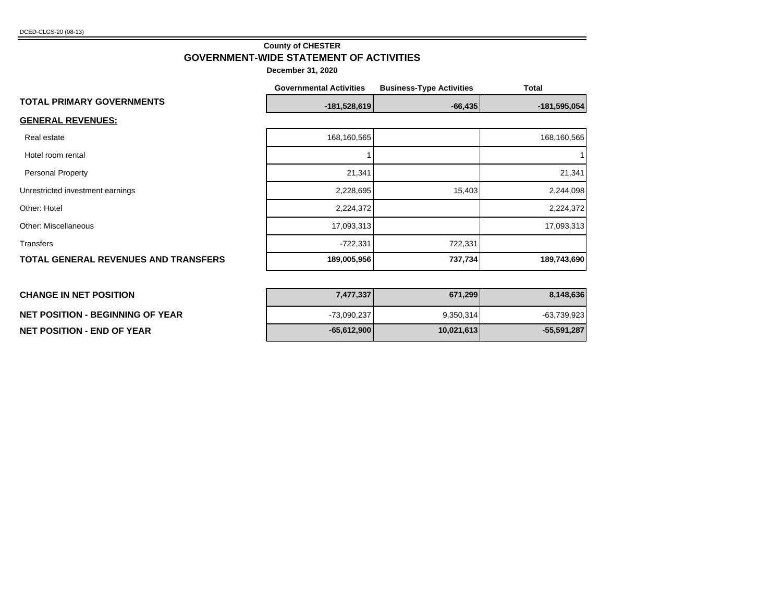#### **County of CHESTER GOVERNMENT-WIDE STATEMENT OF ACTIVITIES**

**December 31, 2020**

|                                             | <b>Governmental Activities</b> | <b>Business-Type Activities</b> | Total          |
|---------------------------------------------|--------------------------------|---------------------------------|----------------|
| <b>TOTAL PRIMARY GOVERNMENTS</b>            | $-181,528,619$                 | $-66,435$                       | $-181,595,054$ |
| <b>GENERAL REVENUES:</b>                    |                                |                                 |                |
| Real estate                                 | 168,160,565                    |                                 | 168,160,565    |
| Hotel room rental                           |                                |                                 |                |
| Personal Property                           | 21,341                         |                                 | 21,341         |
| Unrestricted investment earnings            | 2,228,695                      | 15,403                          | 2,244,098      |
| Other: Hotel                                | 2,224,372                      |                                 | 2,224,372      |
| Other: Miscellaneous                        | 17,093,313                     |                                 | 17,093,313     |
| <b>Transfers</b>                            | $-722,331$                     | 722,331                         |                |
| <b>TOTAL GENERAL REVENUES AND TRANSFERS</b> | 189,005,956                    | 737,734                         | 189,743,690    |
|                                             |                                |                                 |                |

#### **CHANGE IN NET POSITION 7,477,337 671,299 8,148,636**

# **NET POSITION - END OF YEAR -65,612,900 10,021,613 -55,591,287**

| <b>CHANGE IN NET POSITION</b>           | 7,477,337     | 671,299    | 8,148,636   |
|-----------------------------------------|---------------|------------|-------------|
| <b>NET POSITION - BEGINNING OF YEAR</b> | -73,090,237   | 9,350,314  | -63,739,923 |
| <b>NET POSITION - END OF YEAR</b>       | $-65,612,900$ | 10,021,613 | -55,591,287 |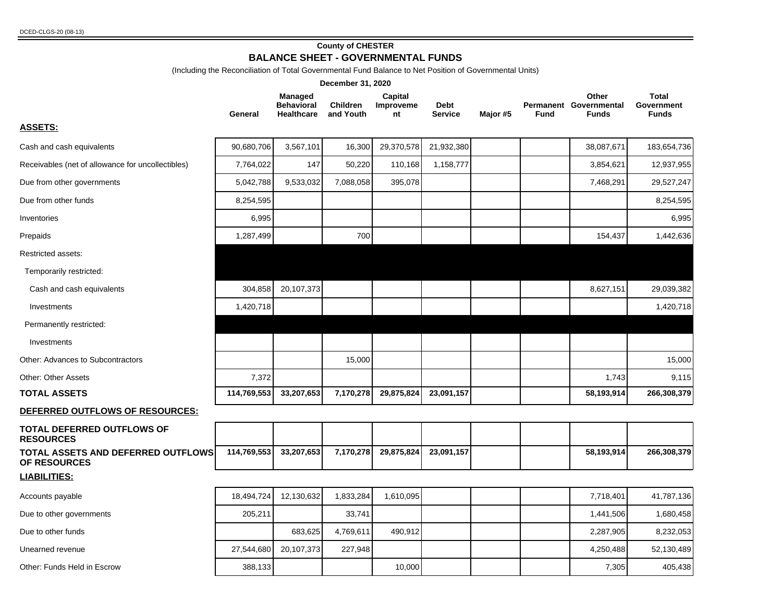#### **County of CHESTER BALANCE SHEET - GOVERNMENTAL FUNDS**

(Including the Reconciliation of Total Governmental Fund Balance to Net Position of Governmental Units)

|                                                           |             |                                                          | December 31, 2020            |                            |                        |          |             |                                                 |                                            |
|-----------------------------------------------------------|-------------|----------------------------------------------------------|------------------------------|----------------------------|------------------------|----------|-------------|-------------------------------------------------|--------------------------------------------|
|                                                           | General     | <b>Managed</b><br><b>Behavioral</b><br><b>Healthcare</b> | <b>Children</b><br>and Youth | Capital<br>Improveme<br>nt | Debt<br><b>Service</b> | Major #5 | <b>Fund</b> | Other<br>Permanent Governmental<br><b>Funds</b> | <b>Total</b><br>Government<br><b>Funds</b> |
| <b>ASSETS:</b>                                            |             |                                                          |                              |                            |                        |          |             |                                                 |                                            |
| Cash and cash equivalents                                 | 90,680,706  | 3,567,101                                                | 16,300                       | 29,370,578                 | 21,932,380             |          |             | 38,087,671                                      | 183,654,736                                |
| Receivables (net of allowance for uncollectibles)         | 7,764,022   | 147                                                      | 50,220                       | 110,168                    | 1,158,777              |          |             | 3,854,621                                       | 12,937,955                                 |
| Due from other governments                                | 5,042,788   | 9,533,032                                                | 7,088,058                    | 395,078                    |                        |          |             | 7,468,291                                       | 29,527,247                                 |
| Due from other funds                                      | 8,254,595   |                                                          |                              |                            |                        |          |             |                                                 | 8,254,595                                  |
| Inventories                                               | 6,995       |                                                          |                              |                            |                        |          |             |                                                 | 6,995                                      |
| Prepaids                                                  | 1,287,499   |                                                          | 700                          |                            |                        |          |             | 154,437                                         | 1,442,636                                  |
| Restricted assets:                                        |             |                                                          |                              |                            |                        |          |             |                                                 |                                            |
| Temporarily restricted:                                   |             |                                                          |                              |                            |                        |          |             |                                                 |                                            |
| Cash and cash equivalents                                 | 304,858     | 20,107,373                                               |                              |                            |                        |          |             | 8,627,151                                       | 29,039,382                                 |
| Investments                                               | 1,420,718   |                                                          |                              |                            |                        |          |             |                                                 | 1,420,718                                  |
| Permanently restricted:                                   |             |                                                          |                              |                            |                        |          |             |                                                 |                                            |
| Investments                                               |             |                                                          |                              |                            |                        |          |             |                                                 |                                            |
| Other: Advances to Subcontractors                         |             |                                                          | 15,000                       |                            |                        |          |             |                                                 | 15,000                                     |
| <b>Other: Other Assets</b>                                | 7,372       |                                                          |                              |                            |                        |          |             | 1,743                                           | 9,115                                      |
| <b>TOTAL ASSETS</b>                                       | 114,769,553 | 33,207,653                                               | 7,170,278                    | 29,875,824                 | 23,091,157             |          |             | 58,193,914                                      | 266,308,379                                |
| DEFERRED OUTFLOWS OF RESOURCES:                           |             |                                                          |                              |                            |                        |          |             |                                                 |                                            |
| <b>TOTAL DEFERRED OUTFLOWS OF</b><br><b>RESOURCES</b>     |             |                                                          |                              |                            |                        |          |             |                                                 |                                            |
| TOTAL ASSETS AND DEFERRED OUTFLOWS<br><b>OF RESOURCES</b> | 114,769,553 | 33,207,653                                               | 7,170,278                    | 29,875,824                 | 23,091,157             |          |             | 58,193,914                                      | 266,308,379                                |
| <b>LIABILITIES:</b>                                       |             |                                                          |                              |                            |                        |          |             |                                                 |                                            |
| Accounts payable                                          | 18,494,724  | 12,130,632                                               | 1,833,284                    | 1,610,095                  |                        |          |             | 7,718,401                                       | 41,787,136                                 |
| Due to other governments                                  | 205,211     |                                                          | 33,741                       |                            |                        |          |             | 1,441,506                                       | 1,680,458                                  |
| Due to other funds                                        |             | 683,625                                                  | 4,769,611                    | 490,912                    |                        |          |             | 2,287,905                                       | 8,232,053                                  |
| Unearned revenue                                          | 27,544,680  | 20,107,373                                               | 227,948                      |                            |                        |          |             | 4,250,488                                       | 52,130,489                                 |
| Other: Funds Held in Escrow                               | 388,133     |                                                          |                              | 10,000                     |                        |          |             | 7,305                                           | 405,438                                    |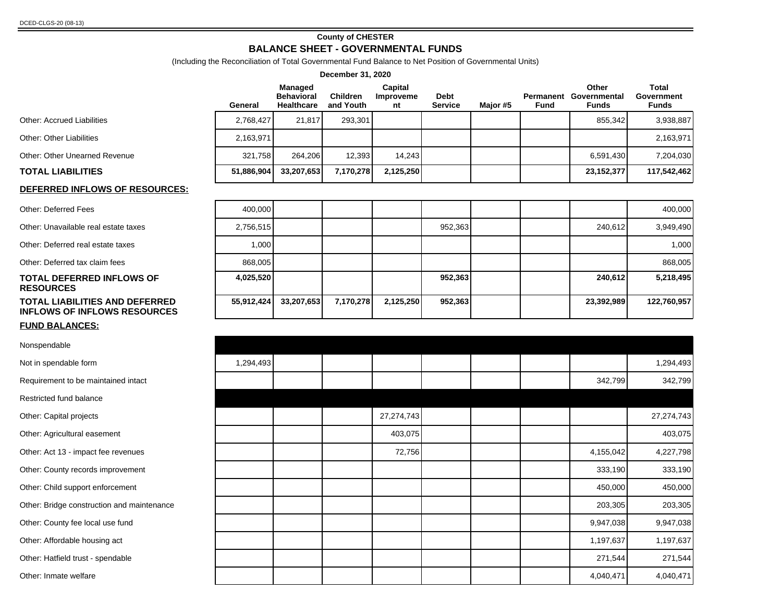#### **County of CHESTER BALANCE SHEET - GOVERNMENTAL FUNDS**

(Including the Reconciliation of Total Governmental Fund Balance to Net Position of Governmental Units)

| December 31, 2020                                                            |            |                                                          |                              |                            |                        |          |      |                                                 |                                     |
|------------------------------------------------------------------------------|------------|----------------------------------------------------------|------------------------------|----------------------------|------------------------|----------|------|-------------------------------------------------|-------------------------------------|
|                                                                              | General    | <b>Managed</b><br><b>Behavioral</b><br><b>Healthcare</b> | <b>Children</b><br>and Youth | Capital<br>Improveme<br>nt | Debt<br><b>Service</b> | Major #5 | Fund | Other<br>Permanent Governmental<br><b>Funds</b> | Total<br>Government<br><b>Funds</b> |
| <b>Other: Accrued Liabilities</b>                                            | 2,768,427  | 21,817                                                   | 293,301                      |                            |                        |          |      | 855,342                                         | 3,938,887                           |
| <b>Other: Other Liabilities</b>                                              | 2,163,971  |                                                          |                              |                            |                        |          |      |                                                 | 2,163,971                           |
| <b>Other: Other Unearned Revenue</b>                                         | 321,758    | 264,206                                                  | 12,393                       | 14,243                     |                        |          |      | 6,591,430                                       | 7,204,030                           |
| <b>TOTAL LIABILITIES</b>                                                     | 51,886,904 | 33,207,653                                               | 7,170,278                    | 2,125,250                  |                        |          |      | 23, 152, 377                                    | 117,542,462                         |
| DEFERRED INFLOWS OF RESOURCES:                                               |            |                                                          |                              |                            |                        |          |      |                                                 |                                     |
| <b>Other: Deferred Fees</b>                                                  | 400,000    |                                                          |                              |                            |                        |          |      |                                                 | 400,000                             |
| Other: Unavailable real estate taxes                                         | 2,756,515  |                                                          |                              |                            | 952,363                |          |      | 240,612                                         | 3,949,490                           |
| Other: Deferred real estate taxes                                            | 1,000      |                                                          |                              |                            |                        |          |      |                                                 | 1,000                               |
| Other: Deferred tax claim fees                                               | 868.005    |                                                          |                              |                            |                        |          |      |                                                 | 868,005                             |
| <b>TOTAL DEFERRED INFLOWS OF</b><br><b>RESOURCES</b>                         | 4,025,520  |                                                          |                              |                            | 952,363                |          |      | 240,612                                         | 5,218,495                           |
| <b>TOTAL LIABILITIES AND DEFERRED</b><br><b>INFLOWS OF INFLOWS RESOURCES</b> | 55,912,424 | 33,207,653                                               | 7,170,278                    | 2,125,250                  | 952,363                |          |      | 23,392,989                                      | 122,760,957                         |
| <b>FUND BALANCES:</b>                                                        |            |                                                          |                              |                            |                        |          |      |                                                 |                                     |
| Nonspendable                                                                 |            |                                                          |                              |                            |                        |          |      |                                                 |                                     |
| Not in spendable form                                                        | 1,294,493  |                                                          |                              |                            |                        |          |      |                                                 | 1,294,493                           |
| Requirement to be maintained intact                                          |            |                                                          |                              |                            |                        |          |      | 342,799                                         | 342,799                             |
| Restricted fund balance                                                      |            |                                                          |                              |                            |                        |          |      |                                                 |                                     |
| Other: Capital projects                                                      |            |                                                          |                              | 27,274,743                 |                        |          |      |                                                 | 27,274,743                          |
| Other: Agricultural easement                                                 |            |                                                          |                              | 403,075                    |                        |          |      |                                                 | 403,075                             |
| Other: Act 13 - impact fee revenues                                          |            |                                                          |                              | 72,756                     |                        |          |      | 4,155,042                                       | 4,227,798                           |
| Other: County records improvement                                            |            |                                                          |                              |                            |                        |          |      | 333,190                                         | 333,190                             |
| Other: Child support enforcement                                             |            |                                                          |                              |                            |                        |          |      | 450,000                                         | 450,000                             |
| Other: Bridge construction and maintenance                                   |            |                                                          |                              |                            |                        |          |      | 203,305                                         | 203,305                             |
| Other: County fee local use fund                                             |            |                                                          |                              |                            |                        |          |      | 9,947,038                                       | 9,947,038                           |
| Other: Affordable housing act                                                |            |                                                          |                              |                            |                        |          |      | 1,197,637                                       | 1,197,637                           |
| Other: Hatfield trust - spendable                                            |            |                                                          |                              |                            |                        |          |      | 271,544                                         | 271,544                             |
| Other: Inmate welfare                                                        |            |                                                          |                              |                            |                        |          |      | 4,040,471                                       | 4,040,471                           |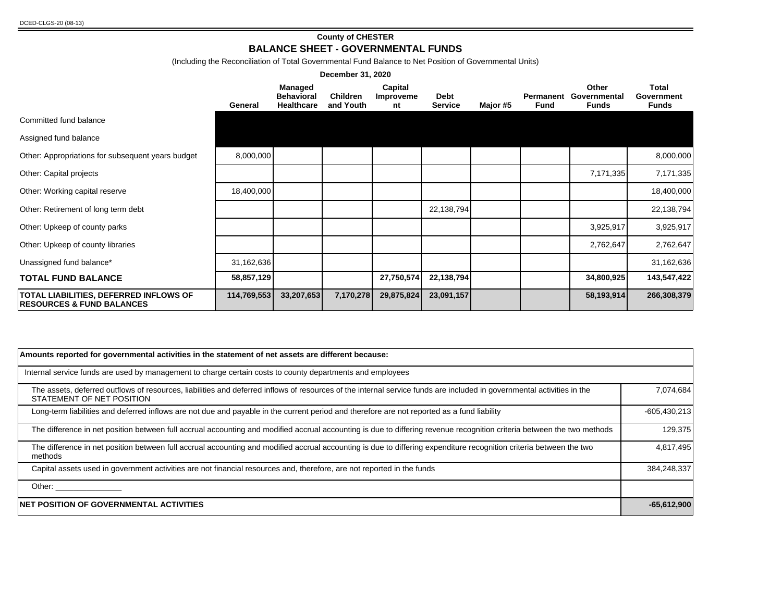#### **County of CHESTER BALANCE SHEET - GOVERNMENTAL FUNDS**

(Including the Reconciliation of Total Governmental Fund Balance to Net Position of Governmental Units)

|                                                                                       |             |                                            | December 31, 2020            |                            |                        |          |                   |                                |                              |
|---------------------------------------------------------------------------------------|-------------|--------------------------------------------|------------------------------|----------------------------|------------------------|----------|-------------------|--------------------------------|------------------------------|
|                                                                                       | General     | Managed<br><b>Behavioral</b><br>Healthcare | <b>Children</b><br>and Youth | Capital<br>Improveme<br>nt | Debt<br><b>Service</b> | Major #5 | Permanent<br>Fund | Other<br>Governmental<br>Funds | Total<br>Government<br>Funds |
| Committed fund balance                                                                |             |                                            |                              |                            |                        |          |                   |                                |                              |
| Assigned fund balance                                                                 |             |                                            |                              |                            |                        |          |                   |                                |                              |
| Other: Appropriations for subsequent years budget                                     | 8,000,000   |                                            |                              |                            |                        |          |                   |                                | 8,000,000                    |
| Other: Capital projects                                                               |             |                                            |                              |                            |                        |          |                   | 7,171,335                      | 7,171,335                    |
| Other: Working capital reserve                                                        | 18,400,000  |                                            |                              |                            |                        |          |                   |                                | 18,400,000                   |
| Other: Retirement of long term debt                                                   |             |                                            |                              |                            | 22,138,794             |          |                   |                                | 22,138,794                   |
| Other: Upkeep of county parks                                                         |             |                                            |                              |                            |                        |          |                   | 3,925,917                      | 3,925,917                    |
| Other: Upkeep of county libraries                                                     |             |                                            |                              |                            |                        |          |                   | 2,762,647                      | 2,762,647                    |
| Unassigned fund balance*                                                              | 31,162,636  |                                            |                              |                            |                        |          |                   |                                | 31,162,636                   |
| <b>TOTAL FUND BALANCE</b>                                                             | 58,857,129  |                                            |                              | 27,750,574                 | 22,138,794             |          |                   | 34,800,925                     | 143,547,422                  |
| <b>TOTAL LIABILITIES, DEFERRED INFLOWS OF</b><br><b>RESOURCES &amp; FUND BALANCES</b> | 114,769,553 | 33,207,653                                 | 7,170,278                    | 29,875,824                 | 23,091,157             |          |                   | 58,193,914                     | 266,308,379                  |

| Amounts reported for governmental activities in the statement of net assets are different because:                                                                                                  |                |
|-----------------------------------------------------------------------------------------------------------------------------------------------------------------------------------------------------|----------------|
| Internal service funds are used by management to charge certain costs to county departments and employees                                                                                           |                |
| The assets, deferred outflows of resources, liabilities and deferred inflows of resources of the internal service funds are included in governmental activities in the<br>STATEMENT OF NET POSITION | 7,074,684      |
| Long-term liabilities and deferred inflows are not due and payable in the current period and therefore are not reported as a fund liability                                                         | $-605,430,213$ |
| The difference in net position between full accrual accounting and modified accrual accounting is due to differing revenue recognition criteria between the two methods                             | 129,375        |
| The difference in net position between full accrual accounting and modified accrual accounting is due to differing expenditure recognition criteria between the two<br>methods                      | 4,817,495      |
| Capital assets used in government activities are not financial resources and, therefore, are not reported in the funds                                                                              | 384,248,337    |
| Other: _______________                                                                                                                                                                              |                |
| <b>NET POSITION OF GOVERNMENTAL ACTIVITIES</b>                                                                                                                                                      | $-65,612,900$  |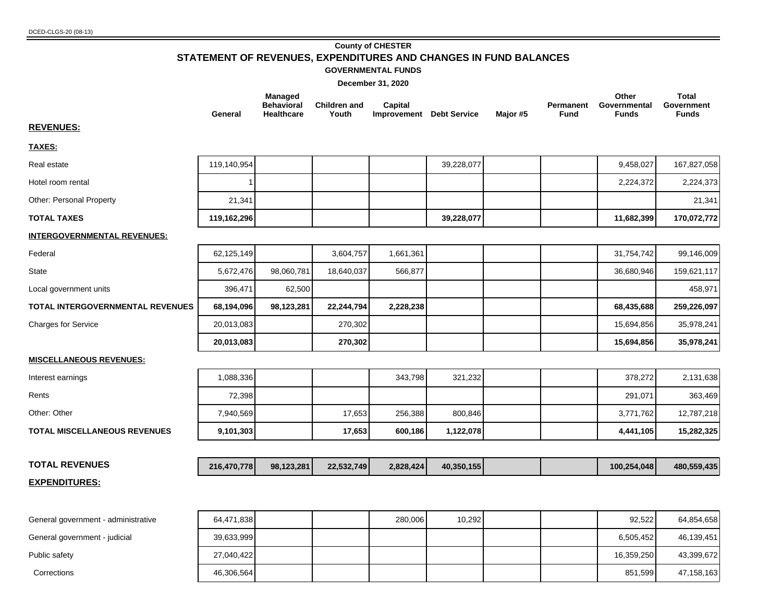#### **County of CHESTER STATEMENT OF REVENUES, EXPENDITURES AND CHANGES IN FUND BALANCES**

#### **GOVERNMENTAL FUNDS**

**December 31, 2020**

|                                         | General     | Managed<br><b>Behavioral</b><br><b>Healthcare</b> | <b>Children and</b><br>Youth | Capital<br><b>Improvement</b> Debt Service |            | Major #5 | Permanent<br><b>Fund</b> | Other<br>Governmental<br><b>Funds</b> | <b>Total</b><br>Government<br><b>Funds</b> |
|-----------------------------------------|-------------|---------------------------------------------------|------------------------------|--------------------------------------------|------------|----------|--------------------------|---------------------------------------|--------------------------------------------|
| <b>REVENUES:</b>                        |             |                                                   |                              |                                            |            |          |                          |                                       |                                            |
| TAXES:                                  |             |                                                   |                              |                                            |            |          |                          |                                       |                                            |
| Real estate                             | 119,140,954 |                                                   |                              |                                            | 39,228,077 |          |                          | 9,458,027                             | 167,827,058                                |
| Hotel room rental                       |             |                                                   |                              |                                            |            |          |                          | 2,224,372                             | 2,224,373                                  |
| Other: Personal Property                | 21,341      |                                                   |                              |                                            |            |          |                          |                                       | 21,341                                     |
| <b>TOTAL TAXES</b>                      | 119,162,296 |                                                   |                              |                                            | 39,228,077 |          |                          | 11,682,399                            | 170,072,772                                |
| <b>INTERGOVERNMENTAL REVENUES:</b>      |             |                                                   |                              |                                            |            |          |                          |                                       |                                            |
| Federal                                 | 62,125,149  |                                                   | 3,604,757                    | 1,661,361                                  |            |          |                          | 31,754,742                            | 99,146,009                                 |
| <b>State</b>                            | 5,672,476   | 98,060,781                                        | 18,640,037                   | 566,877                                    |            |          |                          | 36,680,946                            | 159,621,117                                |
| Local government units                  | 396,471     | 62,500                                            |                              |                                            |            |          |                          |                                       | 458,971                                    |
| <b>TOTAL INTERGOVERNMENTAL REVENUES</b> | 68,194,096  | 98,123,281                                        | 22,244,794                   | 2,228,238                                  |            |          |                          | 68,435,688                            | 259,226,097                                |
| <b>Charges for Service</b>              | 20,013,083  |                                                   | 270,302                      |                                            |            |          |                          | 15,694,856                            | 35,978,241                                 |
|                                         | 20,013,083  |                                                   | 270,302                      |                                            |            |          |                          | 15,694,856                            | 35,978,241                                 |
| <b>MISCELLANEOUS REVENUES:</b>          |             |                                                   |                              |                                            |            |          |                          |                                       |                                            |
| Interest earnings                       | 1,088,336   |                                                   |                              | 343,798                                    | 321,232    |          |                          | 378,272                               | 2,131,638                                  |
| Rents                                   | 72,398      |                                                   |                              |                                            |            |          |                          | 291,071                               | 363,469                                    |
| Other: Other                            | 7,940,569   |                                                   | 17,653                       | 256,388                                    | 800,846    |          |                          | 3,771,762                             | 12,787,218                                 |
| <b>TOTAL MISCELLANEOUS REVENUES</b>     | 9,101,303   |                                                   | 17,653                       | 600,186                                    | 1,122,078  |          |                          | 4,441,105                             | 15,282,325                                 |
|                                         |             |                                                   |                              |                                            |            |          |                          |                                       |                                            |
| <b>TOTAL REVENUES</b>                   | 216,470,778 | 98,123,281                                        | 22,532,749                   | 2,828,424                                  | 40,350,155 |          |                          | 100,254,048                           | 480,559,435                                |
| <b>EXPENDITURES:</b>                    |             |                                                   |                              |                                            |            |          |                          |                                       |                                            |
| General government - administrative     | 64,471,838  |                                                   |                              | 280,006                                    | 10,292     |          |                          | 92,522                                | 64,854,658                                 |
| General government - judicial           | 39,633,999  |                                                   |                              |                                            |            |          |                          | 6,505,452                             | 46,139,451                                 |

Public safety 27,040,422 16,359,250 43,399,672 Corrections 46,306,564 851,599 47,158,163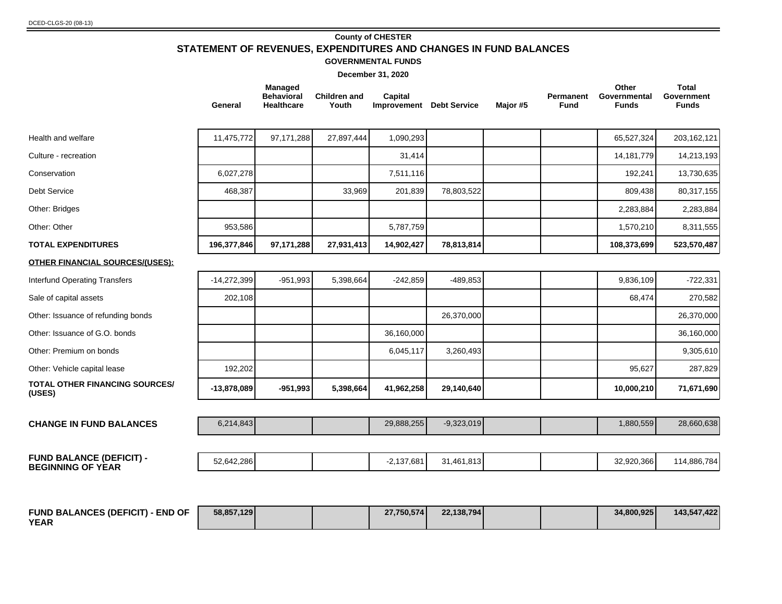#### DCED-CLGS-20 (08-13)

## **County of CHESTER STATEMENT OF REVENUES, EXPENDITURES AND CHANGES IN FUND BALANCES**

#### **GOVERNMENTAL FUNDS**

|                                                             | General       | <b>Managed</b><br><b>Behavioral</b><br>Healthcare | <b>Children and</b><br>Youth | Capital<br><b>Improvement</b> Debt Service |              | Major #5 | Permanent<br><b>Fund</b> | Other<br>Governmental<br><b>Funds</b> | <b>Total</b><br>Government<br><b>Funds</b> |
|-------------------------------------------------------------|---------------|---------------------------------------------------|------------------------------|--------------------------------------------|--------------|----------|--------------------------|---------------------------------------|--------------------------------------------|
| Health and welfare                                          | 11,475,772    | 97,171,288                                        | 27,897,444                   | 1,090,293                                  |              |          |                          | 65,527,324                            | 203, 162, 121                              |
| Culture - recreation                                        |               |                                                   |                              | 31,414                                     |              |          |                          | 14,181,779                            | 14,213,193                                 |
| Conservation                                                | 6,027,278     |                                                   |                              | 7,511,116                                  |              |          |                          | 192,241                               | 13,730,635                                 |
| <b>Debt Service</b>                                         | 468,387       |                                                   | 33,969                       | 201,839                                    | 78,803,522   |          |                          | 809,438                               | 80,317,155                                 |
| Other: Bridges                                              |               |                                                   |                              |                                            |              |          |                          | 2,283,884                             | 2,283,884                                  |
| Other: Other                                                | 953,586       |                                                   |                              | 5,787,759                                  |              |          |                          | 1,570,210                             | 8,311,555                                  |
| <b>TOTAL EXPENDITURES</b>                                   | 196,377,846   | 97,171,288                                        | 27,931,413                   | 14,902,427                                 | 78,813,814   |          |                          | 108,373,699                           | 523,570,487                                |
| <b>OTHER FINANCIAL SOURCES/(USES):</b>                      |               |                                                   |                              |                                            |              |          |                          |                                       |                                            |
| <b>Interfund Operating Transfers</b>                        | $-14,272,399$ | $-951,993$                                        | 5,398,664                    | $-242,859$                                 | $-489,853$   |          |                          | 9,836,109                             | $-722,331$                                 |
| Sale of capital assets                                      | 202,108       |                                                   |                              |                                            |              |          |                          | 68,474                                | 270,582                                    |
| Other: Issuance of refunding bonds                          |               |                                                   |                              |                                            | 26,370,000   |          |                          |                                       | 26,370,000                                 |
| Other: Issuance of G.O. bonds                               |               |                                                   |                              | 36,160,000                                 |              |          |                          |                                       | 36,160,000                                 |
| Other: Premium on bonds                                     |               |                                                   |                              | 6,045,117                                  | 3,260,493    |          |                          |                                       | 9,305,610                                  |
| Other: Vehicle capital lease                                | 192,202       |                                                   |                              |                                            |              |          |                          | 95,627                                | 287,829                                    |
| <b>TOTAL OTHER FINANCING SOURCES/</b><br>(USES)             | $-13,878,089$ | $-951,993$                                        | 5,398,664                    | 41,962,258                                 | 29,140,640   |          |                          | 10,000,210                            | 71,671,690                                 |
|                                                             |               |                                                   |                              |                                            |              |          |                          |                                       |                                            |
| <b>CHANGE IN FUND BALANCES</b>                              | 6,214,843     |                                                   |                              | 29,888,255                                 | $-9,323,019$ |          |                          | 1,880,559                             | 28,660,638                                 |
|                                                             |               |                                                   |                              |                                            |              |          |                          |                                       |                                            |
| <b>FUND BALANCE (DEFICIT) -</b><br><b>BEGINNING OF YEAR</b> | 52,642,286    |                                                   |                              | $-2,137,681$                               | 31,461,813   |          |                          | 32,920,366                            | 114,886,784                                |

| <b>FUND BALANCES (DEFICIT) - END OF</b> | 58.857.129 |  | 27.750.574 | 22,138,794 |  | 34.800.925 | 143,547,422 |
|-----------------------------------------|------------|--|------------|------------|--|------------|-------------|
| <b>YEAR</b>                             |            |  |            |            |  |            |             |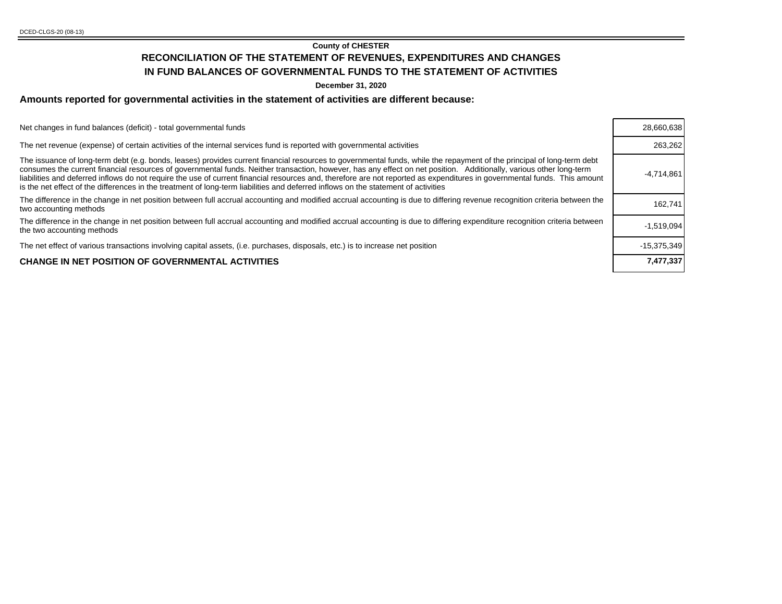#### **County of CHESTER**

## **RECONCILIATION OF THE STATEMENT OF REVENUES, EXPENDITURES AND CHANGES IN FUND BALANCES OF GOVERNMENTAL FUNDS TO THE STATEMENT OF ACTIVITIES**

**December 31, 2020**

## **Amounts reported for governmental activities in the statement of activities are different because:**

| Net changes in fund balances (deficit) - total governmental funds                                                                                                                                                                                                                                                                                                                                                                                                                                                                                                                                                                                                | 28,660,638    |
|------------------------------------------------------------------------------------------------------------------------------------------------------------------------------------------------------------------------------------------------------------------------------------------------------------------------------------------------------------------------------------------------------------------------------------------------------------------------------------------------------------------------------------------------------------------------------------------------------------------------------------------------------------------|---------------|
| The net revenue (expense) of certain activities of the internal services fund is reported with governmental activities                                                                                                                                                                                                                                                                                                                                                                                                                                                                                                                                           | 263,262       |
| The issuance of long-term debt (e.g. bonds, leases) provides current financial resources to governmental funds, while the repayment of the principal of long-term debt<br>consumes the current financial resources of governmental funds. Neither transaction, however, has any effect on net position. Additionally, various other long-term<br>liabilities and deferred inflows do not require the use of current financial resources and, therefore are not reported as expenditures in governmental funds. This amount<br>is the net effect of the differences in the treatment of long-term liabilities and deferred inflows on the statement of activities | $-4,714,861$  |
| The difference in the change in net position between full accrual accounting and modified accrual accounting is due to differing revenue recognition criteria between the<br>two accounting methods                                                                                                                                                                                                                                                                                                                                                                                                                                                              | 162.741       |
| The difference in the change in net position between full accrual accounting and modified accrual accounting is due to differing expenditure recognition criteria between<br>the two accounting methods                                                                                                                                                                                                                                                                                                                                                                                                                                                          | $-1,519,094$  |
| The net effect of various transactions involving capital assets, (i.e. purchases, disposals, etc.) is to increase net position                                                                                                                                                                                                                                                                                                                                                                                                                                                                                                                                   | $-15.375.349$ |
| <b>CHANGE IN NET POSITION OF GOVERNMENTAL ACTIVITIES</b>                                                                                                                                                                                                                                                                                                                                                                                                                                                                                                                                                                                                         | 7,477,337     |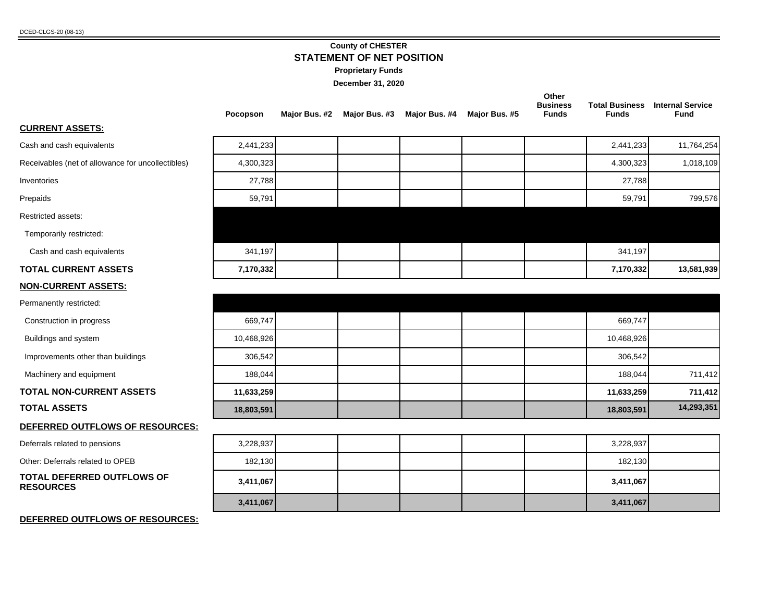#### **County of CHESTER STATEMENT OF NET POSITION**

**Proprietary Funds**

**December 31, 2020**

|                                                   | Pocopson   | Major Bus. #2 | Major Bus. #3 | Major Bus. #4 | Major Bus. #5 | Other<br><b>Business</b><br><b>Funds</b> | <b>Total Business</b><br><b>Funds</b> | <b>Internal Service</b><br><b>Fund</b> |
|---------------------------------------------------|------------|---------------|---------------|---------------|---------------|------------------------------------------|---------------------------------------|----------------------------------------|
| <b>CURRENT ASSETS:</b>                            |            |               |               |               |               |                                          |                                       |                                        |
| Cash and cash equivalents                         | 2,441,233  |               |               |               |               |                                          | 2,441,233                             | 11,764,254                             |
| Receivables (net of allowance for uncollectibles) | 4,300,323  |               |               |               |               |                                          | 4,300,323                             | 1,018,109                              |
| Inventories                                       | 27,788     |               |               |               |               |                                          | 27,788                                |                                        |
| Prepaids                                          | 59,791     |               |               |               |               |                                          | 59,791                                | 799,576                                |
| Restricted assets:                                |            |               |               |               |               |                                          |                                       |                                        |
| Temporarily restricted:                           |            |               |               |               |               |                                          |                                       |                                        |
| Cash and cash equivalents                         | 341,197    |               |               |               |               |                                          | 341,197                               |                                        |
| <b>TOTAL CURRENT ASSETS</b>                       | 7,170,332  |               |               |               |               |                                          | 7,170,332                             | 13,581,939                             |
| <b>NON-CURRENT ASSETS:</b>                        |            |               |               |               |               |                                          |                                       |                                        |
| Permanently restricted:                           |            |               |               |               |               |                                          |                                       |                                        |
| Construction in progress                          | 669,747    |               |               |               |               |                                          | 669,747                               |                                        |
| Buildings and system                              | 10,468,926 |               |               |               |               |                                          | 10,468,926                            |                                        |
| Improvements other than buildings                 | 306,542    |               |               |               |               |                                          | 306,542                               |                                        |
| Machinery and equipment                           | 188,044    |               |               |               |               |                                          | 188,044                               | 711,412                                |
| <b>TOTAL NON-CURRENT ASSETS</b>                   | 11,633,259 |               |               |               |               |                                          | 11,633,259                            | 711,412                                |
| <b>TOTAL ASSETS</b>                               | 18,803,591 |               |               |               |               |                                          | 18,803,591                            | 14,293,351                             |
| DEFERRED OUTFLOWS OF RESOURCES:                   |            |               |               |               |               |                                          |                                       |                                        |
| Deferrals related to pensions                     | 3,228,937  |               |               |               |               |                                          | 3,228,937                             |                                        |
| Other: Deferrals related to OPEB                  | 182,130    |               |               |               |               |                                          | 182,130                               |                                        |
| TOTAL DEFERRED OUTFLOWS OF<br><b>RESOURCES</b>    | 3,411,067  |               |               |               |               |                                          | 3,411,067                             |                                        |
|                                                   | 3,411,067  |               |               |               |               |                                          | 3,411,067                             |                                        |

#### **DEFERRED OUTFLOWS OF RESOURCES:**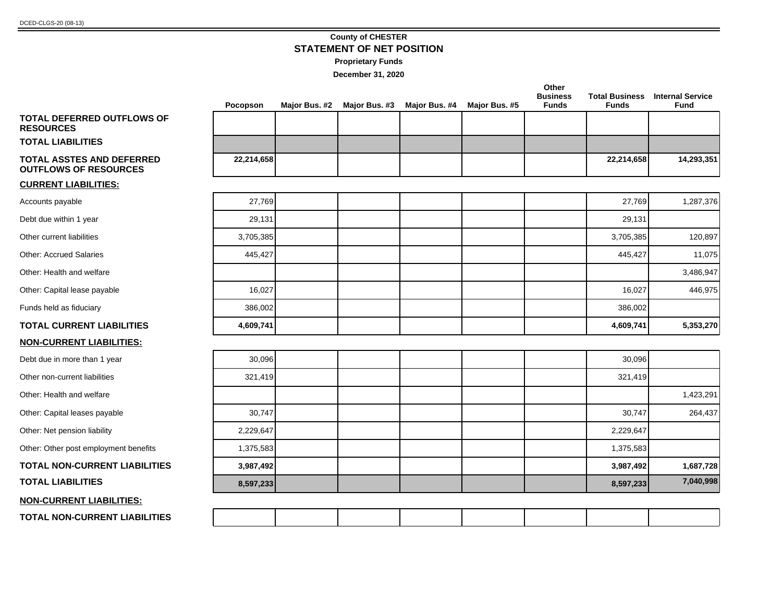## **County of CHESTER STATEMENT OF NET POSITION**

| Proprietary Funds |  |
|-------------------|--|
|-------------------|--|

|                                                                  | Pocopson   | Major Bus. #2 | Major Bus. #3 | Major Bus. #4 | Major Bus. #5 | Other<br><b>Business</b><br><b>Funds</b> | <b>Funds</b> | <b>Total Business Internal Service</b><br><b>Fund</b> |
|------------------------------------------------------------------|------------|---------------|---------------|---------------|---------------|------------------------------------------|--------------|-------------------------------------------------------|
| <b>TOTAL DEFERRED OUTFLOWS OF</b><br><b>RESOURCES</b>            |            |               |               |               |               |                                          |              |                                                       |
| <b>TOTAL LIABILITIES</b>                                         |            |               |               |               |               |                                          |              |                                                       |
| <b>TOTAL ASSTES AND DEFERRED</b><br><b>OUTFLOWS OF RESOURCES</b> | 22,214,658 |               |               |               |               |                                          | 22,214,658   | 14,293,351                                            |
| <b>CURRENT LIABILITIES:</b>                                      |            |               |               |               |               |                                          |              |                                                       |
| Accounts payable                                                 | 27,769     |               |               |               |               |                                          | 27,769       | 1,287,376                                             |
| Debt due within 1 year                                           | 29,131     |               |               |               |               |                                          | 29,131       |                                                       |
| Other current liabilities                                        | 3,705,385  |               |               |               |               |                                          | 3,705,385    | 120,897                                               |
| <b>Other: Accrued Salaries</b>                                   | 445,427    |               |               |               |               |                                          | 445,427      | 11,075                                                |
| Other: Health and welfare                                        |            |               |               |               |               |                                          |              | 3,486,947                                             |
| Other: Capital lease payable                                     | 16,027     |               |               |               |               |                                          | 16,027       | 446,975                                               |
| Funds held as fiduciary                                          | 386,002    |               |               |               |               |                                          | 386,002      |                                                       |
| <b>TOTAL CURRENT LIABILITIES</b>                                 | 4,609,741  |               |               |               |               |                                          | 4,609,741    | 5,353,270                                             |
| <b>NON-CURRENT LIABILITIES:</b>                                  |            |               |               |               |               |                                          |              |                                                       |
| Debt due in more than 1 year                                     | 30,096     |               |               |               |               |                                          | 30,096       |                                                       |
| Other non-current liabilities                                    | 321,419    |               |               |               |               |                                          | 321,419      |                                                       |
| Other: Health and welfare                                        |            |               |               |               |               |                                          |              | 1,423,291                                             |
| Other: Capital leases payable                                    | 30,747     |               |               |               |               |                                          | 30,747       | 264,437                                               |
| Other: Net pension liability                                     | 2,229,647  |               |               |               |               |                                          | 2,229,647    |                                                       |
| Other: Other post employment benefits                            | 1,375,583  |               |               |               |               |                                          | 1,375,583    |                                                       |
| <b>TOTAL NON-CURRENT LIABILITIES</b>                             | 3,987,492  |               |               |               |               |                                          | 3,987,492    | 1,687,728                                             |
| <b>TOTAL LIABILITIES</b>                                         | 8,597,233  |               |               |               |               |                                          | 8,597,233    | 7,040,998                                             |
| <b>NON-CURRENT LIABILITIES:</b>                                  |            |               |               |               |               |                                          |              |                                                       |
| <b>TOTAL NON-CURRENT LIABILITIES</b>                             |            |               |               |               |               |                                          |              |                                                       |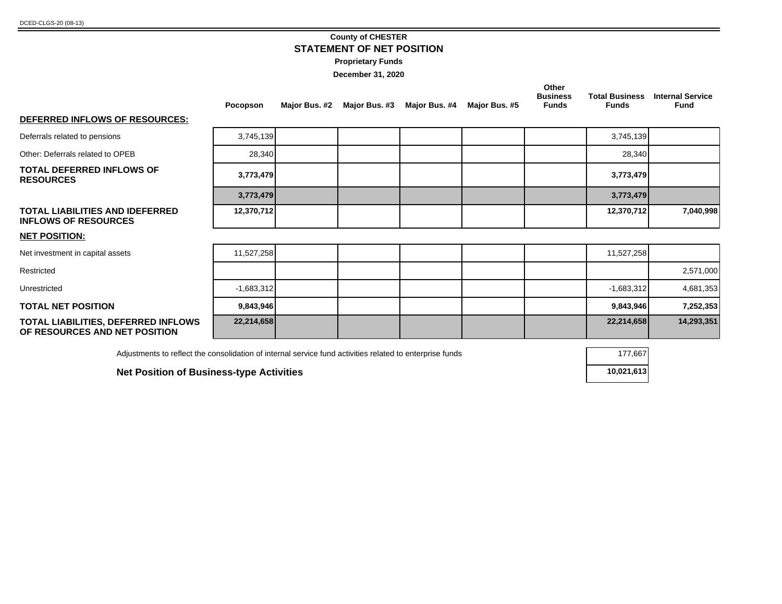## **County of CHESTER STATEMENT OF NET POSITION**

| Proprietary Funds |  |
|-------------------|--|
|-------------------|--|

**December 31, 2020**

|                                                                      | Pocopson     | Major Bus. #2 | Major Bus. #3 | Major Bus. #4 | Major Bus. #5 | Other<br><b>Business</b><br><b>Funds</b> | <b>Total Business</b><br><b>Funds</b> | <b>Internal Service</b><br>Fund |
|----------------------------------------------------------------------|--------------|---------------|---------------|---------------|---------------|------------------------------------------|---------------------------------------|---------------------------------|
| DEFERRED INFLOWS OF RESOURCES:                                       |              |               |               |               |               |                                          |                                       |                                 |
| Deferrals related to pensions                                        | 3,745,139    |               |               |               |               |                                          | 3,745,139                             |                                 |
| Other: Deferrals related to OPEB                                     | 28,340       |               |               |               |               |                                          | 28,340                                |                                 |
| <b>TOTAL DEFERRED INFLOWS OF</b><br><b>RESOURCES</b>                 | 3,773,479    |               |               |               |               |                                          | 3,773,479                             |                                 |
|                                                                      | 3,773,479    |               |               |               |               |                                          | 3,773,479                             |                                 |
| TOTAL LIABILITIES AND IDEFERRED<br><b>INFLOWS OF RESOURCES</b>       | 12,370,712   |               |               |               |               |                                          | 12,370,712                            | 7,040,998                       |
| <b>NET POSITION:</b>                                                 |              |               |               |               |               |                                          |                                       |                                 |
| Net investment in capital assets                                     | 11,527,258   |               |               |               |               |                                          | 11,527,258                            |                                 |
| Restricted                                                           |              |               |               |               |               |                                          |                                       | 2,571,000                       |
| Unrestricted                                                         | $-1,683,312$ |               |               |               |               |                                          | $-1,683,312$                          | 4,681,353                       |
| <b>TOTAL NET POSITION</b>                                            | 9,843,946    |               |               |               |               |                                          | 9,843,946                             | 7,252,353                       |
| TOTAL LIABILITIES, DEFERRED INFLOWS<br>OF RESOURCES AND NET POSITION | 22,214,658   |               |               |               |               |                                          | 22,214,658                            | 14,293,351                      |

Adjustments to reflect the consolidation of internal service fund activities related to enterprise funds 177,667

**Net Position of Business-type Activities 10,021,613** 

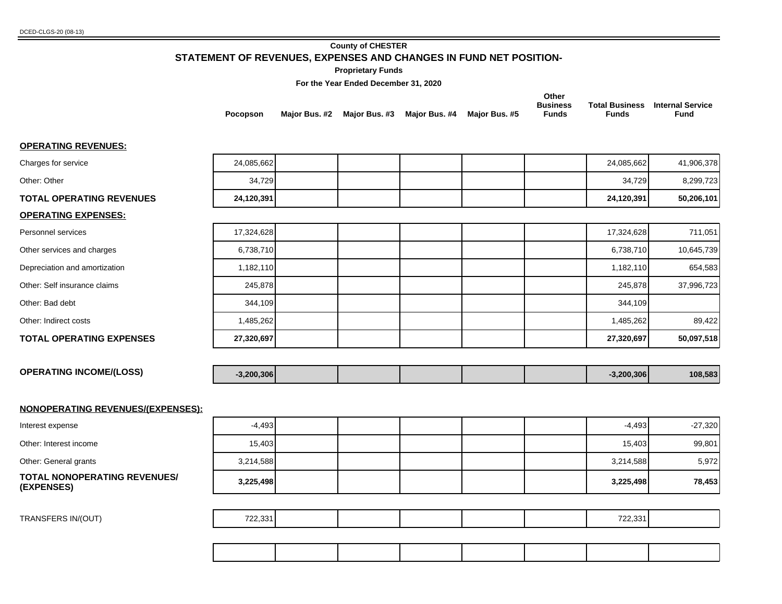#### **County of CHESTER**

### **STATEMENT OF REVENUES, EXPENSES AND CHANGES IN FUND NET POSITION-**

#### **Proprietary Funds**

#### **For the Year Ended December 31, 2020**

|                 |               |               |                             | Other           |       |                                        |
|-----------------|---------------|---------------|-----------------------------|-----------------|-------|----------------------------------------|
|                 |               |               |                             | <b>Business</b> |       | <b>Total Business</b> Internal Service |
| <b>Pocopson</b> | Maior Bus. #2 | Maior Bus. #3 | Maior Bus. #4 Maior Bus. #5 | <b>Funds</b>    | Funds | Fund                                   |

#### **OPERATING REVENUES:**

| <u>UI LIVATINU INLYLIVULU.</u>                    |              |  |  |              |            |
|---------------------------------------------------|--------------|--|--|--------------|------------|
| Charges for service                               | 24,085,662   |  |  | 24,085,662   | 41,906,378 |
| Other: Other                                      | 34,729       |  |  | 34,729       | 8,299,723  |
| <b>TOTAL OPERATING REVENUES</b>                   | 24,120,391   |  |  | 24,120,391   | 50,206,101 |
| <b>OPERATING EXPENSES:</b>                        |              |  |  |              |            |
| Personnel services                                | 17,324,628   |  |  | 17,324,628   | 711,051    |
| Other services and charges                        | 6,738,710    |  |  | 6,738,710    | 10,645,739 |
| Depreciation and amortization                     | 1,182,110    |  |  | 1,182,110    | 654,583    |
| Other: Self insurance claims                      | 245,878      |  |  | 245,878      | 37,996,723 |
| Other: Bad debt                                   | 344,109      |  |  | 344,109      |            |
| Other: Indirect costs                             | 1,485,262    |  |  | 1,485,262    | 89,422     |
| <b>TOTAL OPERATING EXPENSES</b>                   | 27,320,697   |  |  | 27,320,697   | 50,097,518 |
|                                                   |              |  |  |              |            |
| <b>OPERATING INCOME/(LOSS)</b>                    | $-3,200,306$ |  |  | $-3,200,306$ | 108,583    |
|                                                   |              |  |  |              |            |
| NONOPERATING REVENUES/(EXPENSES):                 |              |  |  |              |            |
| Interest expense                                  | $-4,493$     |  |  | $-4,493$     | $-27,320$  |
| Other: Interest income                            | 15,403       |  |  | 15,403       | 99,801     |
| Other: General grants                             | 3,214,588    |  |  | 3,214,588    | 5,972      |
| <b>TOTAL NONOPERATING REVENUES/</b><br>(EXPENSES) | 3,225,498    |  |  | 3,225,498    | 78,453     |
|                                                   |              |  |  |              |            |
| TRANSFERS IN/(OUT)                                | 722,331      |  |  | 722,331      |            |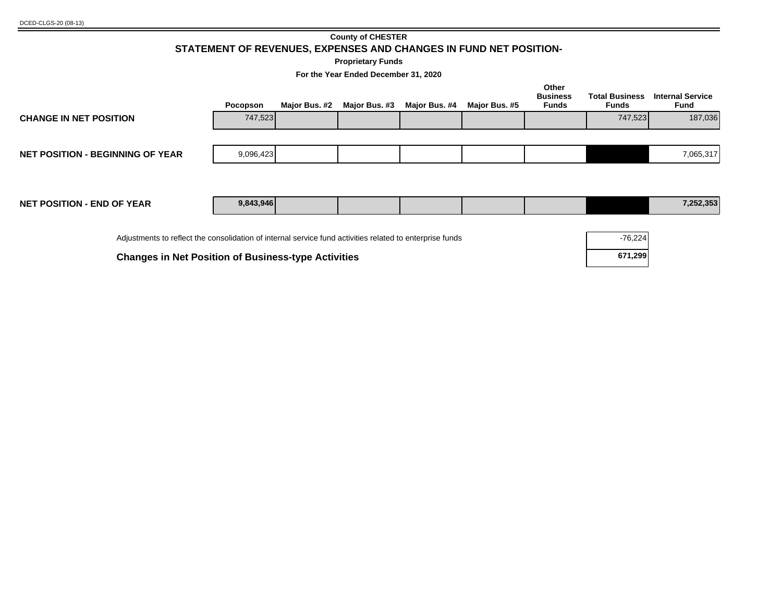### **County of CHESTER STATEMENT OF REVENUES, EXPENSES AND CHANGES IN FUND NET POSITION-**

**Proprietary Funds**

**For the Year Ended December 31, 2020**

|                                                                                                          | Pocopson  | Major Bus. #2 | Major Bus. #3 | Major Bus. #4 | Major Bus. #5 | Other<br><b>Business</b><br>Funds | <b>Total Business</b><br>Funds | <b>Internal Service</b><br>Fund |
|----------------------------------------------------------------------------------------------------------|-----------|---------------|---------------|---------------|---------------|-----------------------------------|--------------------------------|---------------------------------|
| <b>CHANGE IN NET POSITION</b>                                                                            | 747,523   |               |               |               |               |                                   | 747,523                        | 187,036                         |
| <b>NET POSITION - BEGINNING OF YEAR</b>                                                                  | 9,096,423 |               |               |               |               |                                   |                                | 7,065,317                       |
| <b>NET POSITION - END OF YEAR</b>                                                                        | 9,843,946 |               |               |               |               |                                   |                                | 7,252,353                       |
| Adjustments to reflect the consolidation of internal service fund activities related to enterprise funds |           |               |               |               |               |                                   | $-76,224$                      |                                 |

**Changes in Net Position of Business-type Activities <b>671,299 671,299**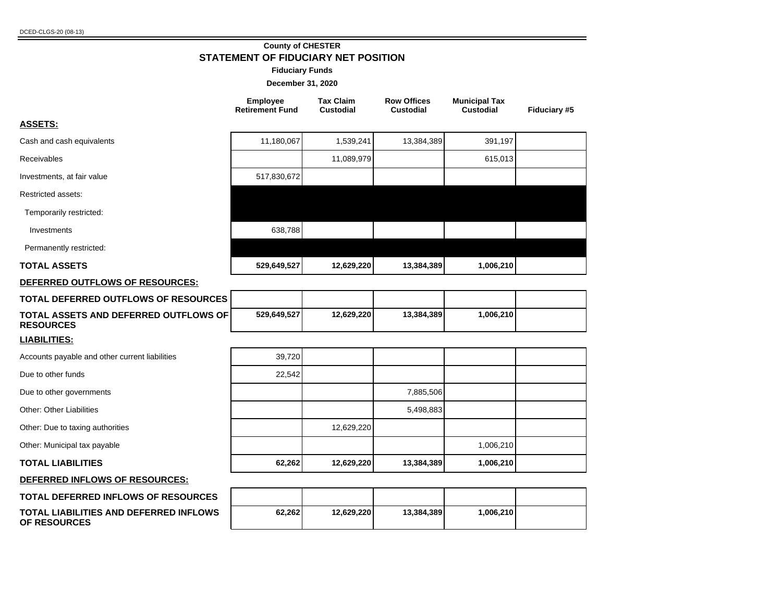**OF RESOURCES**

#### **County of CHESTER STATEMENT OF FIDUCIARY NET POSITION**

#### **Fiduciary Funds**

|                                                           | <b>Employee</b><br><b>Retirement Fund</b> | <b>Tax Claim</b><br><b>Custodial</b> | <b>Row Offices</b><br><b>Custodial</b> | <b>Municipal Tax</b><br><b>Custodial</b> | Fiduciary #5 |
|-----------------------------------------------------------|-------------------------------------------|--------------------------------------|----------------------------------------|------------------------------------------|--------------|
| <b>ASSETS:</b>                                            |                                           |                                      |                                        |                                          |              |
| Cash and cash equivalents                                 | 11,180,067                                | 1,539,241                            | 13,384,389                             | 391,197                                  |              |
| Receivables                                               |                                           | 11,089,979                           |                                        | 615,013                                  |              |
| Investments, at fair value                                | 517,830,672                               |                                      |                                        |                                          |              |
| Restricted assets:                                        |                                           |                                      |                                        |                                          |              |
| Temporarily restricted:                                   |                                           |                                      |                                        |                                          |              |
| Investments                                               | 638,788                                   |                                      |                                        |                                          |              |
| Permanently restricted:                                   |                                           |                                      |                                        |                                          |              |
| <b>TOTAL ASSETS</b>                                       | 529,649,527                               | 12,629,220                           | 13,384,389                             | 1,006,210                                |              |
| DEFERRED OUTFLOWS OF RESOURCES:                           |                                           |                                      |                                        |                                          |              |
| TOTAL DEFERRED OUTFLOWS OF RESOURCES                      |                                           |                                      |                                        |                                          |              |
| TOTAL ASSETS AND DEFERRED OUTFLOWS OF<br><b>RESOURCES</b> | 529,649,527                               | 12,629,220                           | 13,384,389                             | 1,006,210                                |              |
| <b>LIABILITIES:</b>                                       |                                           |                                      |                                        |                                          |              |
| Accounts payable and other current liabilities            | 39,720                                    |                                      |                                        |                                          |              |
| Due to other funds                                        | 22,542                                    |                                      |                                        |                                          |              |
| Due to other governments                                  |                                           |                                      | 7,885,506                              |                                          |              |
| <b>Other: Other Liabilities</b>                           |                                           |                                      | 5,498,883                              |                                          |              |
| Other: Due to taxing authorities                          |                                           | 12,629,220                           |                                        |                                          |              |
| Other: Municipal tax payable                              |                                           |                                      |                                        | 1,006,210                                |              |
| <b>TOTAL LIABILITIES</b>                                  | 62,262                                    | 12,629,220                           | 13,384,389                             | 1,006,210                                |              |
| DEFERRED INFLOWS OF RESOURCES:                            |                                           |                                      |                                        |                                          |              |
| <b>TOTAL DEFERRED INFLOWS OF RESOURCES</b>                |                                           |                                      |                                        |                                          |              |
| TOTAL LIABILITIES AND DEFERRED INFLOWS                    | 62,262                                    | 12,629,220                           | 13,384,389                             | 1,006,210                                |              |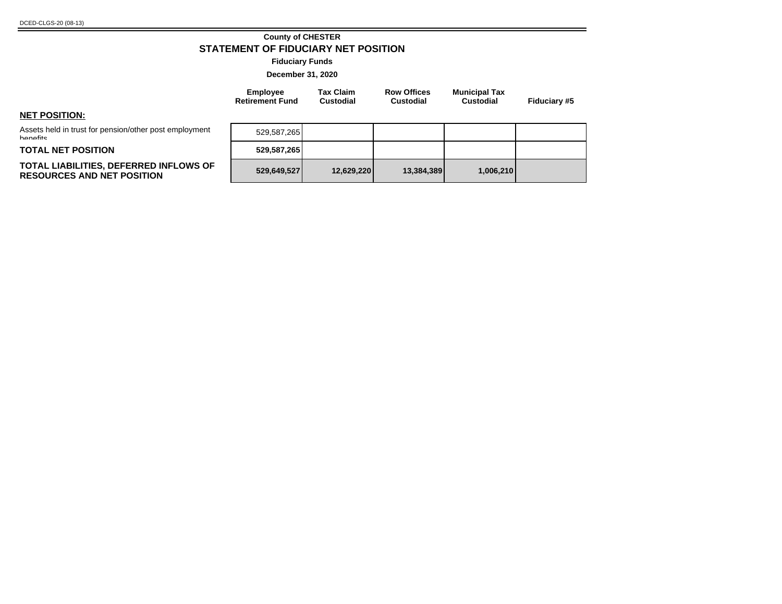#### **County of CHESTER STATEMENT OF FIDUCIARY NET POSITION**

**Fiduciary Funds**

**December 31, 2020**

| <b>Employee</b>        | <b>Tax Claim</b> | <b>Row Offices</b> | <b>Municipal Tax</b> |              |
|------------------------|------------------|--------------------|----------------------|--------------|
| <b>Retirement Fund</b> | <b>Custodial</b> | <b>Custodial</b>   | <b>Custodial</b>     | Fiduciary #5 |

#### **NET POSITION:**

Assets held in trust for pension/other post employment hanafite

#### **TOTAL NET POSITION**

#### **TOTAL LIABILITIES, DEFERRED INFLOWS OF RESOURCES AND NET POSITION 529,649,527 12,629,220 13,384,389 1,006,210**

| 529,587,265 |            |            |           |  |
|-------------|------------|------------|-----------|--|
| 529,587,265 |            |            |           |  |
| 529,649,527 | 12,629,220 | 13,384,389 | 1,006,210 |  |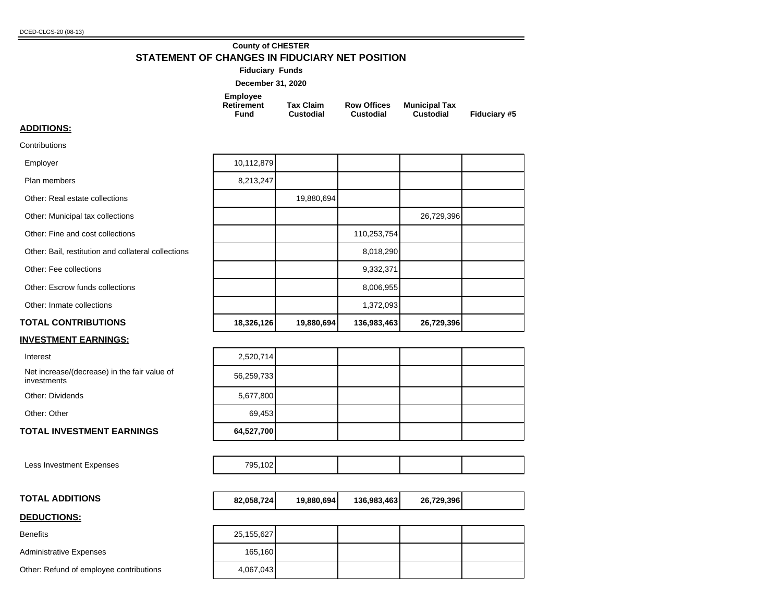### **County of CHESTER STATEMENT OF CHANGES IN FIDUCIARY NET POSITION**

| <b>Fiduciary Funds</b>                       |                               |                                 |                                          |              |
|----------------------------------------------|-------------------------------|---------------------------------|------------------------------------------|--------------|
| December 31, 2020                            |                               |                                 |                                          |              |
| <b>Employee</b><br><b>Retirement</b><br>Fund | <b>Tax Claim</b><br>Custodial | <b>Row Offices</b><br>Custodial | <b>Municipal Tax</b><br><b>Custodial</b> | Fiduciary #5 |

### **ADDITIONS:**

**Contributions** 

| <b>INVESTMENT EARNINGS:</b>                         |            |            |             |            |  |
|-----------------------------------------------------|------------|------------|-------------|------------|--|
| <b>TOTAL CONTRIBUTIONS</b>                          | 18,326,126 | 19,880,694 | 136,983,463 | 26,729,396 |  |
| Other: Inmate collections                           |            |            | 1,372,093   |            |  |
| Other: Escrow funds collections                     |            |            | 8,006,955   |            |  |
| Other: Fee collections                              |            |            | 9,332,371   |            |  |
| Other: Bail, restitution and collateral collections |            |            | 8,018,290   |            |  |
| Other: Fine and cost collections                    |            |            | 110,253,754 |            |  |
| Other: Municipal tax collections                    |            |            |             | 26,729,396 |  |
| Other: Real estate collections                      |            | 19,880,694 |             |            |  |
| Plan members                                        | 8,213,247  |            |             |            |  |
| Employer                                            | 10,112,879 |            |             |            |  |
|                                                     |            |            |             |            |  |

Interest

| Net increase/(decrease) in the fair value of | 56,259,733 |
|----------------------------------------------|------------|
| investments                                  |            |

Other: Dividends

Other: Other

#### **TOTAL INVESTMENT EARNINGS**

Less Investment Expenses

#### **TOTAL ADDITIONS 82,058,724 19,880,694 136,983,463 26,729,396**

#### **DEDUCTIONS:**

Benefits

Administrative Expenses

Other: Refund of employee contributions

| 2,520,714  |  |  |
|------------|--|--|
| 56,259,733 |  |  |
| 5,677,800  |  |  |
| 69,453     |  |  |
| 64,527,700 |  |  |

|  |  | $- - - -$ |  |  |  |  |
|--|--|-----------|--|--|--|--|
|--|--|-----------|--|--|--|--|

| 82,058,724<br>136,983,463<br>19.880.694 | 26,729,396 |  |
|-----------------------------------------|------------|--|
|-----------------------------------------|------------|--|

| 25, 155, 627 |  |  |
|--------------|--|--|
| 165,160      |  |  |
| 4,067,043    |  |  |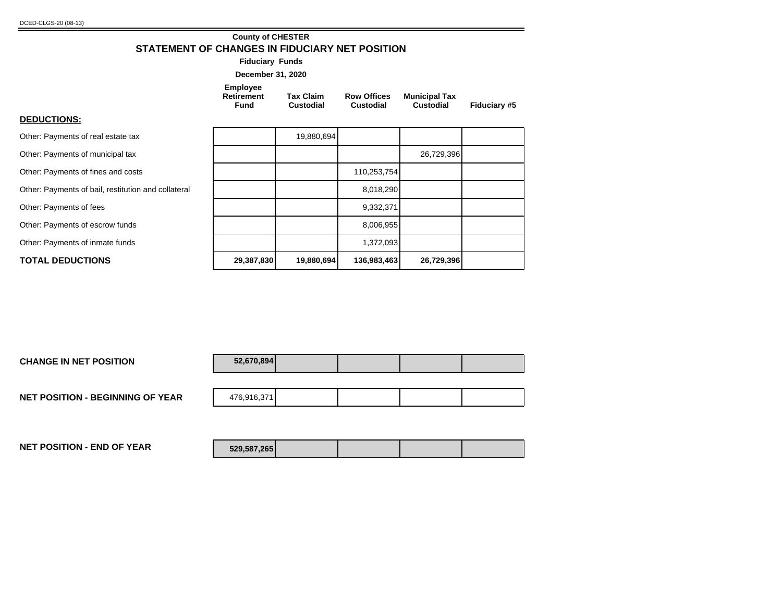## **County of CHESTER STATEMENT OF CHANGES IN FIDUCIARY NET POSITION**

**Fiduciary Funds**

| <b>December 31, 2020</b> |  |  |
|--------------------------|--|--|
|--------------------------|--|--|

| <b>Employee</b><br>Retirement<br>Fund | <b>Tax Claim</b><br>Custodial | <b>Row Offices</b><br>Custodial | <b>Municipal Tax</b><br><b>Custodial</b> | <b>Fiduciary #5</b> |
|---------------------------------------|-------------------------------|---------------------------------|------------------------------------------|---------------------|
|                                       |                               |                                 |                                          |                     |

**DEDUCTIONS:**

| Other: Payments of real estate tax                  |            | 19,880,694 |             |            |  |
|-----------------------------------------------------|------------|------------|-------------|------------|--|
| Other: Payments of municipal tax                    |            |            |             | 26,729,396 |  |
| Other: Payments of fines and costs                  |            |            | 110,253,754 |            |  |
| Other: Payments of bail, restitution and collateral |            |            | 8,018,290   |            |  |
| Other: Payments of fees                             |            |            | 9,332,371   |            |  |
| Other: Payments of escrow funds                     |            |            | 8,006,955   |            |  |
| Other: Payments of inmate funds                     |            |            | 1,372,093   |            |  |
| <b>TOTAL DEDUCTIONS</b>                             | 29,387,830 | 19,880,694 | 136,983,463 | 26,729,396 |  |

| <b>CHANGE IN NET POSITION</b>           | 52,670,894  |  |  |
|-----------------------------------------|-------------|--|--|
|                                         |             |  |  |
| <b>NET POSITION - BEGINNING OF YEAR</b> | 476,916,371 |  |  |
|                                         |             |  |  |
|                                         |             |  |  |

**NET POSITION - END OF YEAR 529,587,265**

| 529,587,265 |  |  |
|-------------|--|--|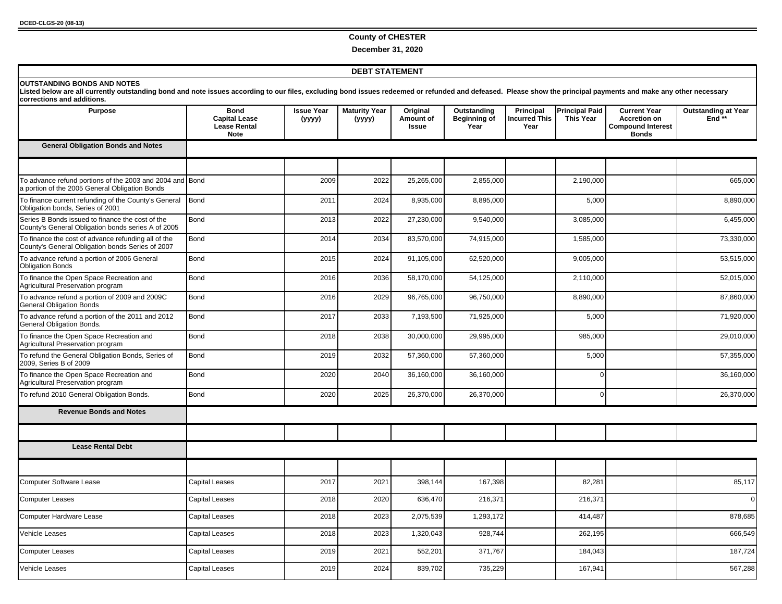### **County of CHESTER**

**December 31, 2020**

#### **DEBT STATEMENT**

| corrections and additions.<br><b>Purpose</b>                                                               | <b>Bond</b>                                                | <b>Issue Year</b> | <b>Maturity Year</b> | Original           | Outstanding                 | Principal                    | <b>Principal Paid</b> | <b>Current Year</b>                                             | <b>Outstanding at Year</b> |
|------------------------------------------------------------------------------------------------------------|------------------------------------------------------------|-------------------|----------------------|--------------------|-----------------------------|------------------------------|-----------------------|-----------------------------------------------------------------|----------------------------|
|                                                                                                            | <b>Capital Lease</b><br><b>Lease Rental</b><br><b>Note</b> | (yyyy)            | (yyyy)               | Amount of<br>Issue | <b>Beginning of</b><br>Year | <b>Incurred This</b><br>Year | <b>This Year</b>      | <b>Accretion on</b><br><b>Compound Interest</b><br><b>Bonds</b> | End $**$                   |
| <b>General Obligation Bonds and Notes</b>                                                                  |                                                            |                   |                      |                    |                             |                              |                       |                                                                 |                            |
| To advance refund portions of the 2003 and 2004 and Bond<br>a portion of the 2005 General Obligation Bonds |                                                            | 2009              | 2022                 | 25,265,000         | 2,855,000                   |                              | 2,190,000             |                                                                 | 665,000                    |
| To finance current refunding of the County's General<br>Obligation bonds, Series of 2001                   | <b>Bond</b>                                                | 2011              | 2024                 | 8,935,000          | 8,895,000                   |                              | 5,000                 |                                                                 | 8,890,000                  |
| Series B Bonds issued to finance the cost of the<br>County's General Obligation bonds series A of 2005     | Bond                                                       | 2013              | 2022                 | 27,230,000         | 9,540,000                   |                              | 3,085,000             |                                                                 | 6,455,000                  |
| To finance the cost of advance refunding all of the<br>County's General Obligation bonds Series of 2007    | Bond                                                       | 2014              | 2034                 | 83,570,000         | 74,915,000                  |                              | 1,585,000             |                                                                 | 73,330,000                 |
| To advance refund a portion of 2006 General<br><b>Obligation Bonds</b>                                     | Bond                                                       | 2015              | 2024                 | 91,105,000         | 62,520,000                  |                              | 9,005,000             |                                                                 | 53,515,000                 |
| To finance the Open Space Recreation and<br>Agricultural Preservation program                              | Bond                                                       | 2016              | 2036                 | 58,170,000         | 54,125,000                  |                              | 2,110,000             |                                                                 | 52,015,000                 |
| To advance refund a portion of 2009 and 2009C<br><b>General Obligation Bonds</b>                           | Bond                                                       | 2016              | 2029                 | 96,765,000         | 96,750,000                  |                              | 8,890,000             |                                                                 | 87,860,000                 |
| To advance refund a portion of the 2011 and 2012<br>General Obligation Bonds.                              | <b>Bond</b>                                                | 2017              | 2033                 | 7,193,500          | 71,925,000                  |                              | 5,000                 |                                                                 | 71,920,000                 |
| To finance the Open Space Recreation and<br>Agricultural Preservation program                              | Bond                                                       | 2018              | 2038                 | 30,000,000         | 29,995,000                  |                              | 985,000               |                                                                 | 29,010,000                 |
| To refund the General Obligation Bonds, Series of<br>2009, Series B of 2009                                | Bond                                                       | 2019              | 2032                 | 57,360,000         | 57,360,000                  |                              | 5,000                 |                                                                 | 57,355,000                 |
| To finance the Open Space Recreation and<br>Agricultural Preservation program                              | Bond                                                       | 2020              | 2040                 | 36,160,000         | 36,160,000                  |                              | $\Omega$              |                                                                 | 36,160,000                 |
| To refund 2010 General Obligation Bonds.                                                                   | Bond                                                       | 2020              | 2025                 | 26,370,000         | 26,370,000                  |                              | $\Omega$              |                                                                 | 26,370,000                 |
| <b>Revenue Bonds and Notes</b>                                                                             |                                                            |                   |                      |                    |                             |                              |                       |                                                                 |                            |
|                                                                                                            |                                                            |                   |                      |                    |                             |                              |                       |                                                                 |                            |
| <b>Lease Rental Debt</b>                                                                                   |                                                            |                   |                      |                    |                             |                              |                       |                                                                 |                            |
| <b>Computer Software Lease</b>                                                                             | <b>Capital Leases</b>                                      | 2017              | 2021                 | 398,144            | 167,398                     |                              | 82,281                |                                                                 | 85,117                     |
| <b>Computer Leases</b>                                                                                     | Capital Leases                                             | 2018              | 2020                 | 636,470            | 216,371                     |                              | 216,371               |                                                                 | $\mathbf 0$                |
|                                                                                                            |                                                            |                   |                      |                    |                             |                              |                       |                                                                 |                            |
| Computer Hardware Lease                                                                                    | <b>Capital Leases</b>                                      | 2018              | 2023                 | 2,075,539          | 1,293,172                   |                              | 414,487               |                                                                 | 878,685                    |
| Vehicle Leases                                                                                             | <b>Capital Leases</b>                                      | 2018              | 2023                 | 1,320,043          | 928,744                     |                              | 262,195               |                                                                 | 666,549                    |
| <b>Computer Leases</b>                                                                                     | Capital Leases                                             | 2019              | 2021                 | 552,201            | 371,767                     |                              | 184,043               |                                                                 | 187,724                    |
| Vehicle Leases                                                                                             | <b>Capital Leases</b>                                      | 2019              | 2024                 | 839,702            | 735,229                     |                              | 167,941               |                                                                 | 567,288                    |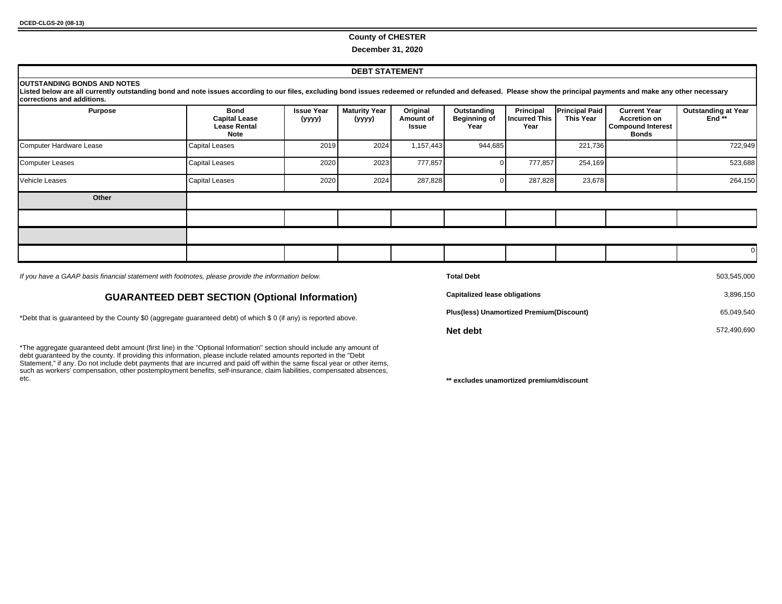#### **County of CHESTER**

#### **December 31, 2020**

#### **DEBT STATEMENT**

| <b>OUTSTANDING BONDS AND NOTES</b><br>Listed below are all currently outstanding bond and note issues according to our files, excluding bond issues redeemed or refunded and defeased. Please show the principal payments and make any other necessary<br>corrections and additions. |                                                             |                             |                                |                                       |                                            |                                           |                                    |                                                                                        |                                     |
|--------------------------------------------------------------------------------------------------------------------------------------------------------------------------------------------------------------------------------------------------------------------------------------|-------------------------------------------------------------|-----------------------------|--------------------------------|---------------------------------------|--------------------------------------------|-------------------------------------------|------------------------------------|----------------------------------------------------------------------------------------|-------------------------------------|
| <b>Purpose</b>                                                                                                                                                                                                                                                                       | Bond<br><b>Capital Lease</b><br><b>Lease Rental</b><br>Note | <b>Issue Year</b><br>(yyyy) | <b>Maturity Year</b><br>(yyyy) | Original<br>Amount of<br><b>Issue</b> | Outstanding<br><b>Beginning of</b><br>Year | Principal<br><b>Incurred This</b><br>Year | <b>Principal Paid</b><br>This Year | <b>Current Year</b><br><b>Accretion on</b><br><b>Compound Interest</b><br><b>Bonds</b> | <b>Outstanding at Year</b><br>End** |
| Computer Hardware Lease                                                                                                                                                                                                                                                              | Capital Leases                                              | 2019                        | 2024                           | 1,157,443                             | 944,685                                    |                                           | 221,736                            |                                                                                        | 722,949                             |
| Computer Leases                                                                                                                                                                                                                                                                      | Capital Leases                                              | 2020                        | 2023                           | 777,857                               |                                            | 777,857                                   | 254,169                            |                                                                                        | 523,688                             |
| Vehicle Leases                                                                                                                                                                                                                                                                       | Capital Leases                                              | 2020                        | 2024                           | 287,828                               |                                            | 287,828                                   | 23,678                             |                                                                                        | 264,150                             |
| Other                                                                                                                                                                                                                                                                                |                                                             |                             |                                |                                       |                                            |                                           |                                    |                                                                                        |                                     |
|                                                                                                                                                                                                                                                                                      |                                                             |                             |                                |                                       |                                            |                                           |                                    |                                                                                        |                                     |
|                                                                                                                                                                                                                                                                                      |                                                             |                             |                                |                                       |                                            |                                           |                                    |                                                                                        |                                     |
|                                                                                                                                                                                                                                                                                      |                                                             |                             |                                |                                       |                                            |                                           |                                    |                                                                                        |                                     |

If you have a GAAP basis financial statement with footnotes, please provide the information below.

#### **GUARANTEED DEBT SECTION (Optional Information)**

\*Debt that is guaranteed by the County \$0 (aggregate guaranteed debt) of which \$ 0 (if any) is reported above.

\*The aggregate guaranteed debt amount (first line) in the "Optional Information" section should include any amount of debt guaranteed by the county. If providing this information, please include related amounts reported in the "Debt Statement," if any. Do not include debt payments that are incurred and paid off within the same fiscal year or other items, such as workers' compensation, other postemployment benefits, self-insurance, claim liabilities, compensated absences, etc.

| <b>Total Debt</b>                        | 503.545.000 |
|------------------------------------------|-------------|
| <b>Capitalized lease obligations</b>     | 3,896,150   |
| Plus(less) Unamortized Premium(Discount) | 65,049,540  |
| Net debt                                 | 572,490,690 |

\*\* excludes unamortized premium/discount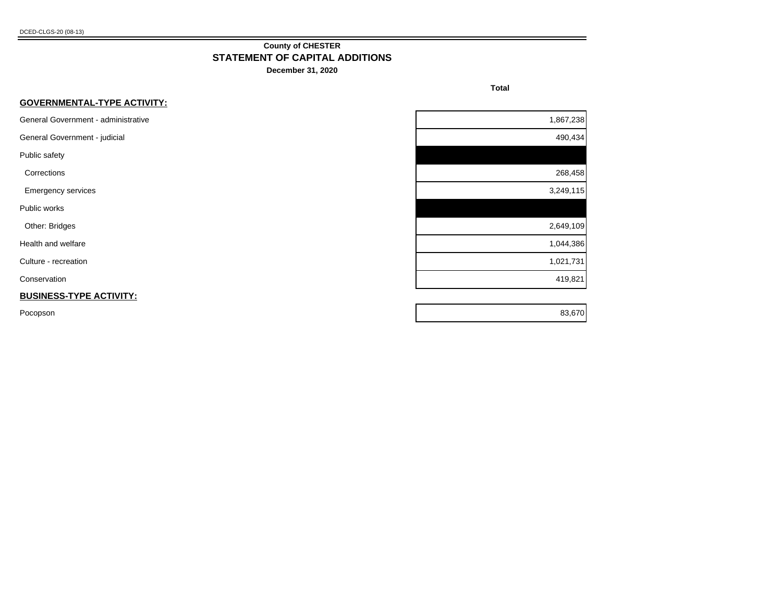#### **County of CHESTER STATEMENT OF CAPITAL ADDITIONS**

**December 31, 2020**

**Total** 

| <b>GOVERNMENTAL-TYPE ACTIVITY:</b>  |           |
|-------------------------------------|-----------|
| General Government - administrative | 1,867,238 |
| General Government - judicial       | 490,434   |
| Public safety                       |           |
| Corrections                         | 268,458   |
| <b>Emergency services</b>           | 3,249,115 |
| Public works                        |           |
| Other: Bridges                      | 2,649,109 |
| Health and welfare                  | 1,044,386 |
| Culture - recreation                | 1,021,731 |
| Conservation                        | 419,821   |
| <b>BUSINESS-TYPE ACTIVITY:</b>      |           |
| Pocopson                            | 83,670    |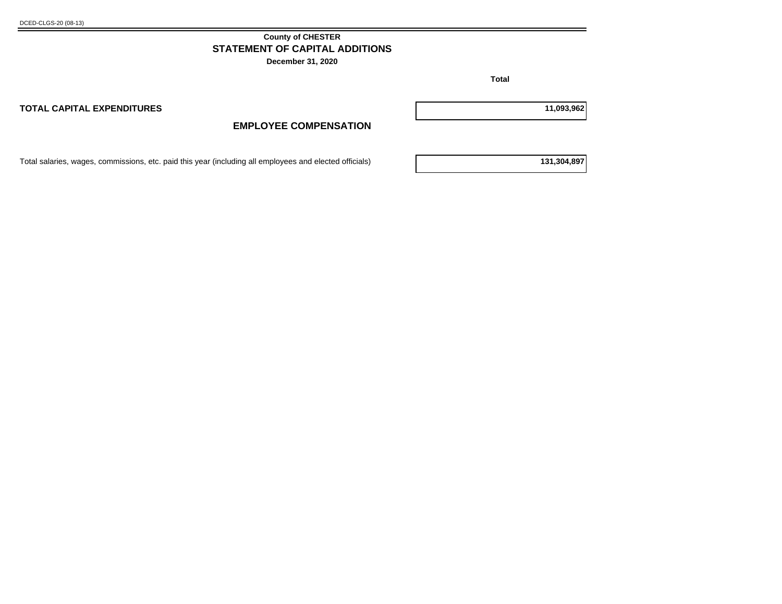#### **County of CHESTER STATEMENT OF CAPITAL ADDITIONS**

**December 31, 2020**

**Total** 

**TOTAL CAPITAL EXPENDITURES 11,093,962**

## **EMPLOYEE COMPENSATION**

Total salaries, wages, commissions, etc. paid this year (including all employees and elected officials) **131,304,897**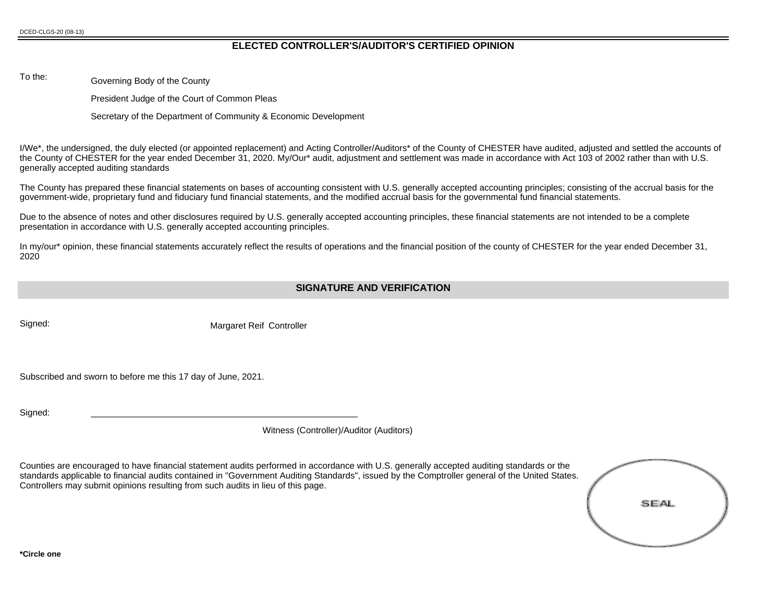#### **ELECTED CONTROLLER'S/AUDITOR'S CERTIFIED OPINION**

To the: Governing Body of the County

President Judge of the Court of Common Pleas

Secretary of the Department of Community & Economic Development

I/We\*, the undersigned, the duly elected (or appointed replacement) and Acting Controller/Auditors\* of the County of CHESTER have audited, adjusted and settled the accounts of the County of CHESTER for the year ended December 31, 2020. My/Our\* audit, adjustment and settlement was made in accordance with Act 103 of 2002 rather than with U.S. generally accepted auditing standards

The County has prepared these financial statements on bases of accounting consistent with U.S. generally accepted accounting principles; consisting of the accrual basis for the government-wide, proprietary fund and fiduciary fund financial statements, and the modified accrual basis for the governmental fund financial statements.

Due to the absence of notes and other disclosures required by U.S. generally accepted accounting principles, these financial statements are not intended to be a complete presentation in accordance with U.S. generally accepted accounting principles.

In my/our\* opinion, these financial statements accurately reflect the results of operations and the financial position of the county of CHESTER for the year ended December 31, 2020

#### **SIGNATURE AND VERIFICATION**

Signed: Signed: Margaret Reif Controller

Subscribed and sworn to before me this 17 day of June, 2021.

Signed: \_\_\_\_\_\_\_\_\_\_\_\_\_\_\_\_\_\_\_\_\_\_\_\_\_\_\_\_\_\_\_\_\_\_\_\_\_\_\_\_\_\_\_\_\_\_\_\_\_\_\_\_\_\_

Witness (Controller)/Auditor (Auditors)

Counties are encouraged to have financial statement audits performed in accordance with U.S. generally accepted auditing standards or the standards applicable to financial audits contained in "Government Auditing Standards", issued by the Comptroller general of the United States. Controllers may submit opinions resulting from such audits in lieu of this page.

| SEAL |  |
|------|--|
|      |  |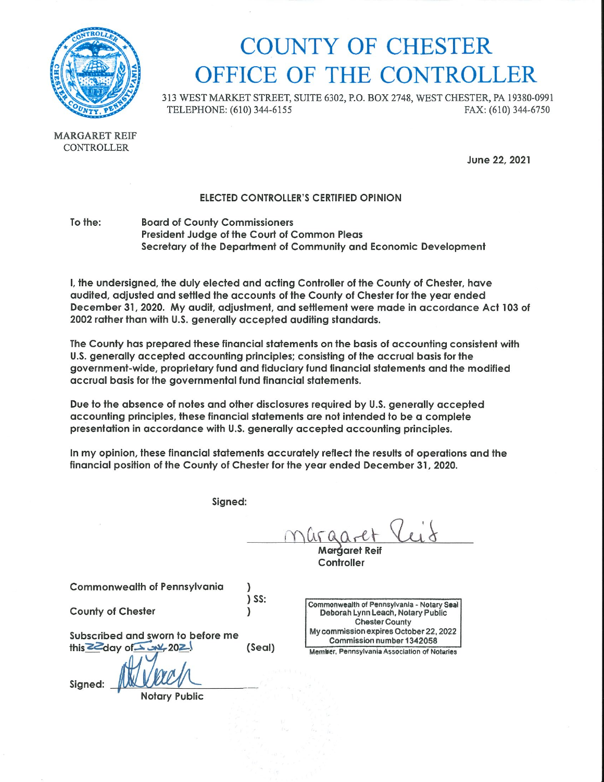

# **COUNTY OF CHESTER** OFFICE OF THE CONTROLLER

313 WEST MARKET STREET, SUITE 6302, P.O. BOX 2748, WEST CHESTER, PA 19380-0991 TELEPHONE: (610) 344-6155 FAX: (610) 344-6750

**MARGARET REIF CONTROLLER** 

June 22, 2021

#### **ELECTED CONTROLLER'S CERTIFIED OPINION**

To the: **Board of County Commissioners** President Judge of the Court of Common Pleas Secretary of the Department of Community and Economic Development

I, the undersigned, the duly elected and acting Controller of the County of Chester, have audited, adjusted and settled the accounts of the County of Chester for the year ended December 31, 2020. My audit, adjustment, and settlement were made in accordance Act 103 of 2002 rather than with U.S. generally accepted auditing standards.

The County has prepared these financial statements on the basis of accounting consistent with U.S. generally accepted accounting principles; consisting of the accrual basis for the government-wide, proprietary fund and fiduciary fund financial statements and the modified accrual basis for the governmental fund financial statements.

Due to the absence of notes and other disclosures required by U.S. generally accepted accounting principles, these financial statements are not intended to be a complete presentation in accordance with U.S. generally accepted accounting principles.

In my opinion, these financial statements accurately reflect the results of operations and the financial position of the County of Chester for the year ended December 31, 2020.

Signed:

nuran-et

Maráaret Rei Controller

**Commonwealth of Pennsylvania** 

**County of Chester** 

 $\lambda$  $\big)$  SS:  $\mathcal{L}$ 

Subscribed and sworn to before me this  $ZZ$  day of  $X$   $W$  202. (Seal)

Signed:

Commonwealth of Pennsylvania - Notary Seal Deborah Lynn Leach, Notary Public **Chester County** My commission expires October 22, 2022 Commission number 1342058

Member, Pennsylvania Association of Notaries

**Notary Public**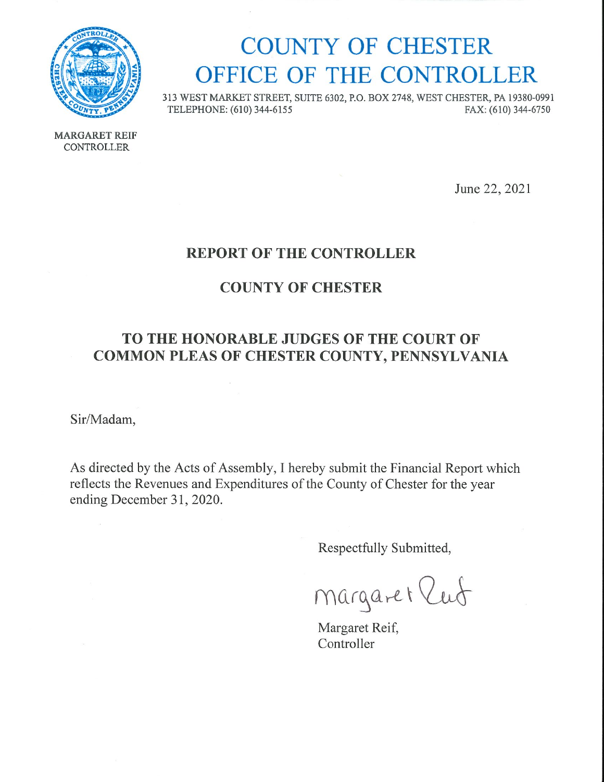

# **COUNTY OF CHESTER** OFFICE OF THE CONTROLLER

313 WEST MARKET STREET, SUITE 6302, P.O. BOX 2748, WEST CHESTER, PA 19380-0991 TELEPHONE: (610) 344-6155 FAX: (610) 344-6750

**MARGARET REIF** CONTROLLER

June 22, 2021

## **REPORT OF THE CONTROLLER**

## **COUNTY OF CHESTER**

## TO THE HONORABLE JUDGES OF THE COURT OF COMMON PLEAS OF CHESTER COUNTY, PENNSYLVANIA

Sir/Madam,

As directed by the Acts of Assembly, I hereby submit the Financial Report which reflects the Revenues and Expenditures of the County of Chester for the year ending December 31, 2020.

Respectfully Submitted,

Margaret lut

Margaret Reif, Controller